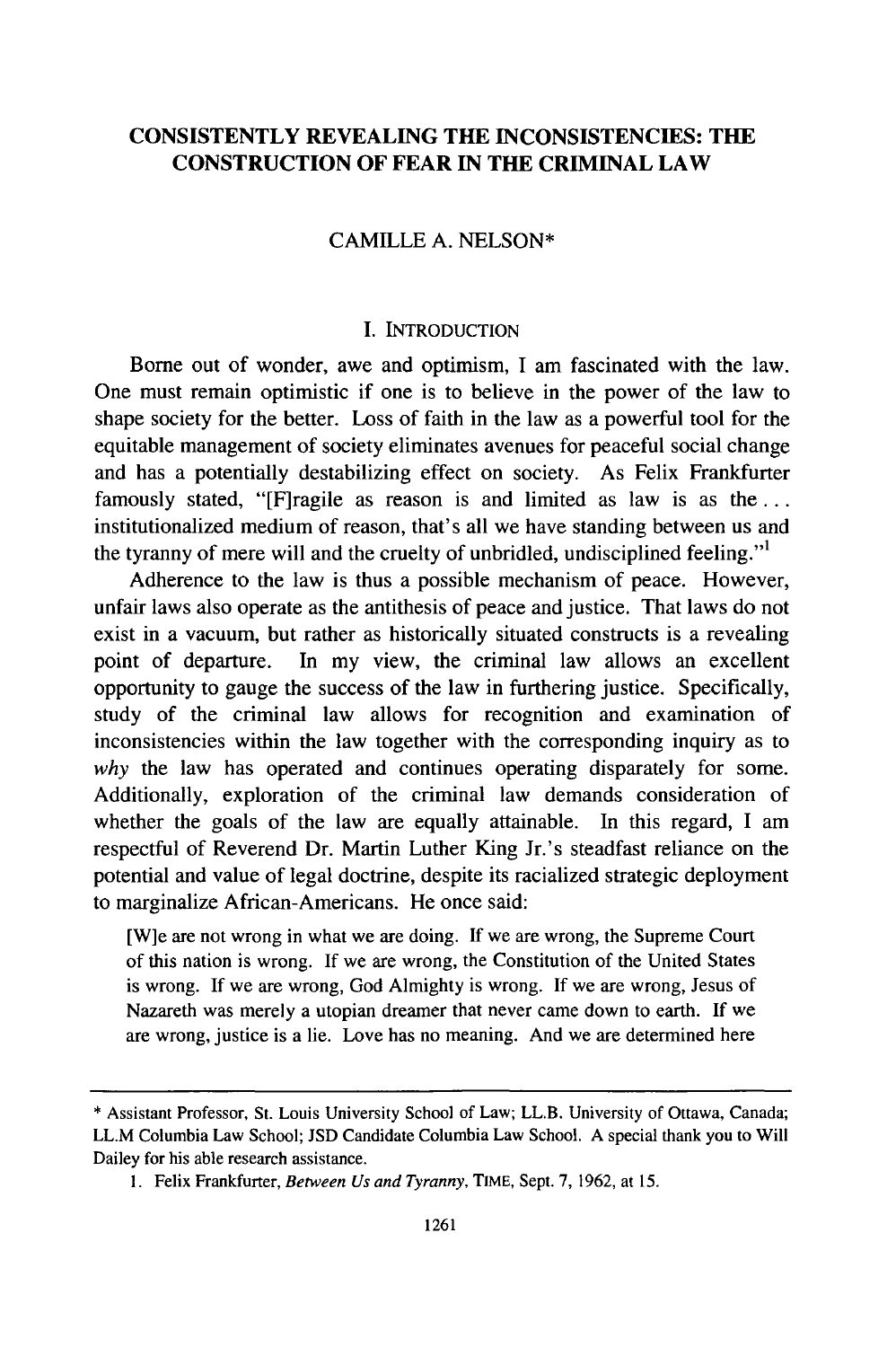# **CONSISTENTLY REVEALING THE INCONSISTENCIES: THE CONSTRUCTION OF FEAR** IN **THE CRIMINAL LAW**

## CAMILLE A. NELSON\*

## I. INTRODUCTION

Borne out of wonder, awe and optimism, I am fascinated with the law. One must remain optimistic if one is to believe in the power of the law to shape society for the better. Loss of faith in the law as a powerful tool for the equitable management of society eliminates avenues for peaceful social change and has a potentially destabilizing effect on society. As Felix Frankfurter famously stated, "[F]ragile as reason is and limited as law is as the ... institutionalized medium of reason, that's all we have standing between us and the tyranny of mere will and the cruelty of unbridled, undisciplined feeling."

Adherence to the law is thus a possible mechanism of peace. However, unfair laws also operate as the antithesis of peace and justice. That laws do not exist in a vacuum, but rather as historically situated constructs is a revealing point of departure. In my view, the criminal law allows an excellent opportunity to gauge the success of the law in furthering justice. Specifically, study of the criminal law allows for recognition and examination of inconsistencies within the law together with the corresponding inquiry as to *why* the law has operated and continues operating disparately for some. Additionally, exploration of the criminal law demands consideration of whether the goals of the law are equally attainable. In this regard, I am respectful of Reverend Dr. Martin Luther King Jr.'s steadfast reliance on the potential and value of legal doctrine, despite its racialized strategic deployment to marginalize African-Americans. He once said:

[W]e are not wrong in what we are doing. If we are wrong, the Supreme Court of this nation is wrong. If we are wrong, the Constitution of the United States is wrong. If we are wrong, God Almighty is wrong. If we are wrong, Jesus of Nazareth was merely a utopian dreamer that never came down to earth. If we are wrong, justice is a lie. Love has no meaning. And we are determined here

<sup>\*</sup> Assistant Professor, St. Louis University School of Law; LL.B. University of Ottawa, Canada; LL.M Columbia Law School; JSD Candidate Columbia Law School. A special thank you to Will Dailey for his able research assistance.

I. Felix Frankfurter, *Between Us and Tyranny,* TIME, Sept. 7, 1962, at 15.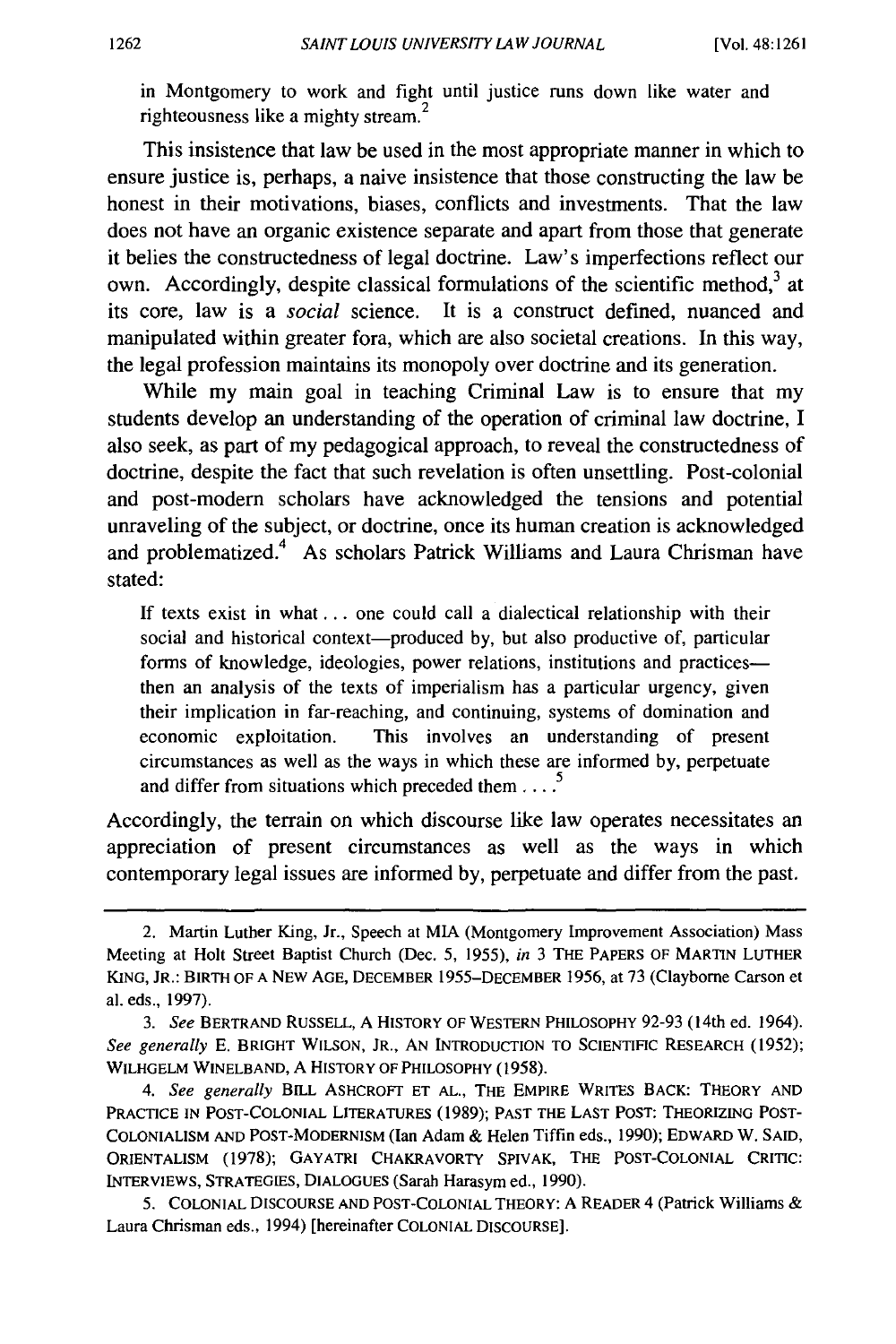in Montgomery to work and fight until justice runs down like water and righteousness like a mighty stream.<sup>2</sup>

This insistence that law be used in the most appropriate manner in which to ensure justice is, perhaps, a naive insistence that those constructing the law be honest in their motivations, biases, conflicts and investments. That the law does not have an organic existence separate and apart from those that generate it belies the constructedness of legal doctrine. Law's imperfections reflect our own. Accordingly, despite classical formulations of the scientific method,<sup>3</sup> at its core, law is a *social* science. It is a construct defined, nuanced and manipulated within greater fora, which are also societal creations. In this way, the legal profession maintains its monopoly over doctrine and its generation.

While my main goal in teaching Criminal Law is to ensure that my students develop an understanding of the operation of criminal law doctrine, I also seek, as part of my pedagogical approach, to reveal the constructedness of doctrine, despite the fact that such revelation is often unsettling. Post-colonial and post-modem scholars have acknowledged the tensions and potential unraveling of the subject, or doctrine, once its human creation is acknowledged and problematized.<sup>4</sup> As scholars Patrick Williams and Laura Chrisman have stated:

If texts exist in what ... one could call a dialectical relationship with their social and historical context-produced by, but also productive of, particular forms of knowledge, ideologies, power relations, institutions and practicesthen an analysis of the texts of imperialism has a particular urgency, given their implication in far-reaching, and continuing, systems of domination and economic exploitation. This involves an understanding of present circumstances as well as the ways in which these are informed by, perpetuate and differ from situations which preceded them ....<sup>5</sup>

Accordingly, the terrain on which discourse like law operates necessitates an appreciation of present circumstances as well as the ways in which contemporary legal issues are informed by, perpetuate and differ from the past.

<sup>2.</sup> Martin Luther King, Jr., Speech at MIA (Montgomery Improvement Association) Mass Meeting at Holt Street Baptist Church (Dec. 5, 1955), in 3 THE PAPERS OF MARTIN LUTHER KING, JR.: BIRTH OF A NEW AGE, DECEMBER 1955-DECEMBER 1956, at 73 (Clayborne Carson et al. eds., 1997).

<sup>3.</sup> *See* BERTRAND RUSSELL, A HISTORY OF WESTERN PHILOSOPHY 92-93 (14th ed. 1964). See generally E. BRIGHT WILSON, JR., AN INTRODUCTION TO SCIENTIFIC RESEARCH (1952); WILHGELM WINELBAND, A HISTORY OF PHILOSOPHY (1958).

<sup>4.</sup> *See generally* BILL ASHCROFT ET AL., THE EMPIRE WRITES BACK: THEORY AND PRACTICE IN POST-COLONIAL LITERATURES (1989); PAST THE LAST POST: THEORIZING POST-COLONIALISM AND POST-MODERNISM (Ian Adam & Helen Tiffin eds., 1990); EDWARD W. SAID, 0RIENTALISM (1978); GAYATRI CHAKRAVORTY SPIVAK, THE POST-COLONIAL CRITIC: INTERVIEWS, STRATEGIES, DIALOGUES (Sarah Harasym ed., 1990).

<sup>5.</sup> COLONIAL DISCOURSE AND POST-COLONIAL THEORY: A READER 4 (Patrick Williams & Laura Chrisman eds., 1994) [hereinafter COLONIAL DISCOURSE].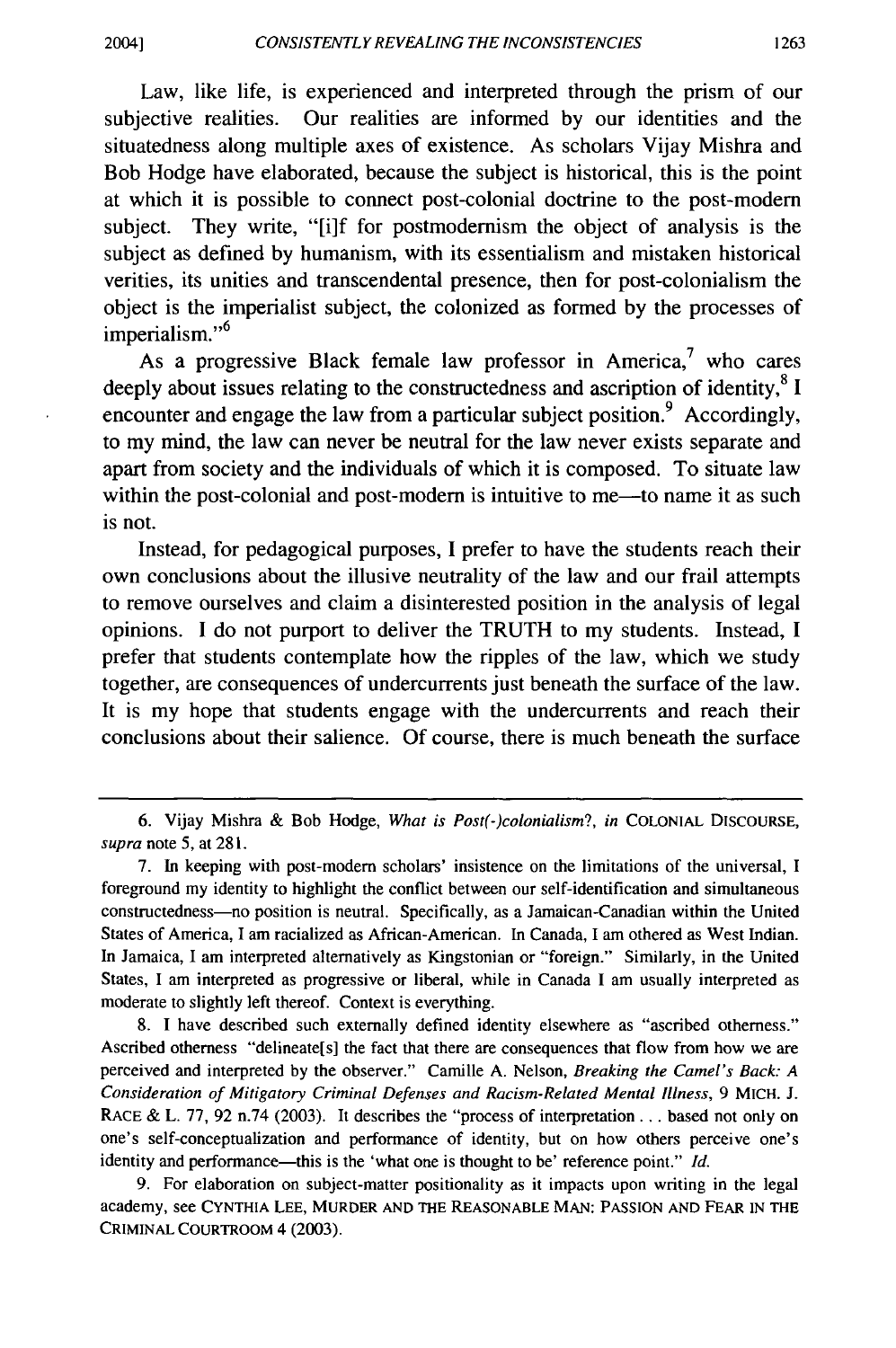Law, like life, is experienced and interpreted through the prism of our subjective realities. Our realities are informed by our identities and the situatedness along multiple axes of existence. As scholars Vijay Mishra and Bob Hodge have elaborated, because the subject is historical, this is the point at which it is possible to connect post-colonial doctrine to the post-modem subject. They write, "[i]f for postmodernism the object of analysis is the subject as defined by humanism, with its essentialism and mistaken historical verities, its unities and transcendental presence, then for post-colonialism the object is the imperialist subject, the colonized as formed by the processes of imperialism."<sup>6</sup>

As a progressive Black female law professor in America,<sup>7</sup> who cares deeply about issues relating to the constructedness and ascription of identity, ${}^{8}$  I encounter and engage the law from a particular subject position.<sup>9</sup> Accordingly, to my mind, the law can never be neutral for the law never exists separate and apart from society and the individuals of which it is composed. To situate law within the post-colonial and post-modern is intuitive to me—to name it as such is not.

Instead, for pedagogical purposes, I prefer to have the students reach their own conclusions about the illusive neutrality of the law and our frail attempts to remove ourselves and claim a disinterested position in the analysis of legal opinions. I do not purport to deliver the TRUTH to my students. Instead, I prefer that students contemplate how the ripples of the law, which we study together, are consequences of undercurrents just beneath the surface of the law. It is my hope that students engage with the undercurrents and reach their conclusions about their salience. Of course, there is much beneath the surface

8. I have described such externally defined identity elsewhere as "ascribed otherness." Ascribed otherness "delineate[s) the fact that there are consequences that flow from how we are perceived and interpreted by the observer." Camille A. Nelson, *Breaking the Camel's Back: A Consideration of Mitigatory Criminal Defenses and Racism-Related Mental Illness,* 9 MICH. J. RACE & L. 77, 92 n.74 (2003). It describes the "process of interpretation ... based not only on one's self-conceptualization and performance of identity, but on how others perceive one's identity and performance-this is the 'what one is thought to be' reference point." *Id.* 

9. For elaboration on subject-matter positionality as it impacts upon writing in the legal academy, see CYNTHIA LEE, MURDER AND THE REASONABLE MAN: PASSION AND FEAR IN THE CRIMINAL COURTROOM 4 (2003).

<sup>6.</sup> Vijay Mishra & Bob Hodge, *What is Post(-)colonialism?, in* COLONIAL DISCOURSE, *supra* note 5, at 281.

<sup>7.</sup> In keeping with post-modem scholars' insistence on the limitations of the universal, I foreground my identity to highlight the conflict between our self-identification and simultaneous constructedness-no position is neutral. Specifically, as a Jamaican-Canadian within the United States of America, I am racialized as African-American. In Canada, I am othered as West Indian. In Jamaica, I am interpreted alternatively as Kingstonian or "foreign." Similarly, in the United States, I am interpreted as progressive or liberal, while in Canada I am usually interpreted as moderate to slightly left thereof. Context is everything.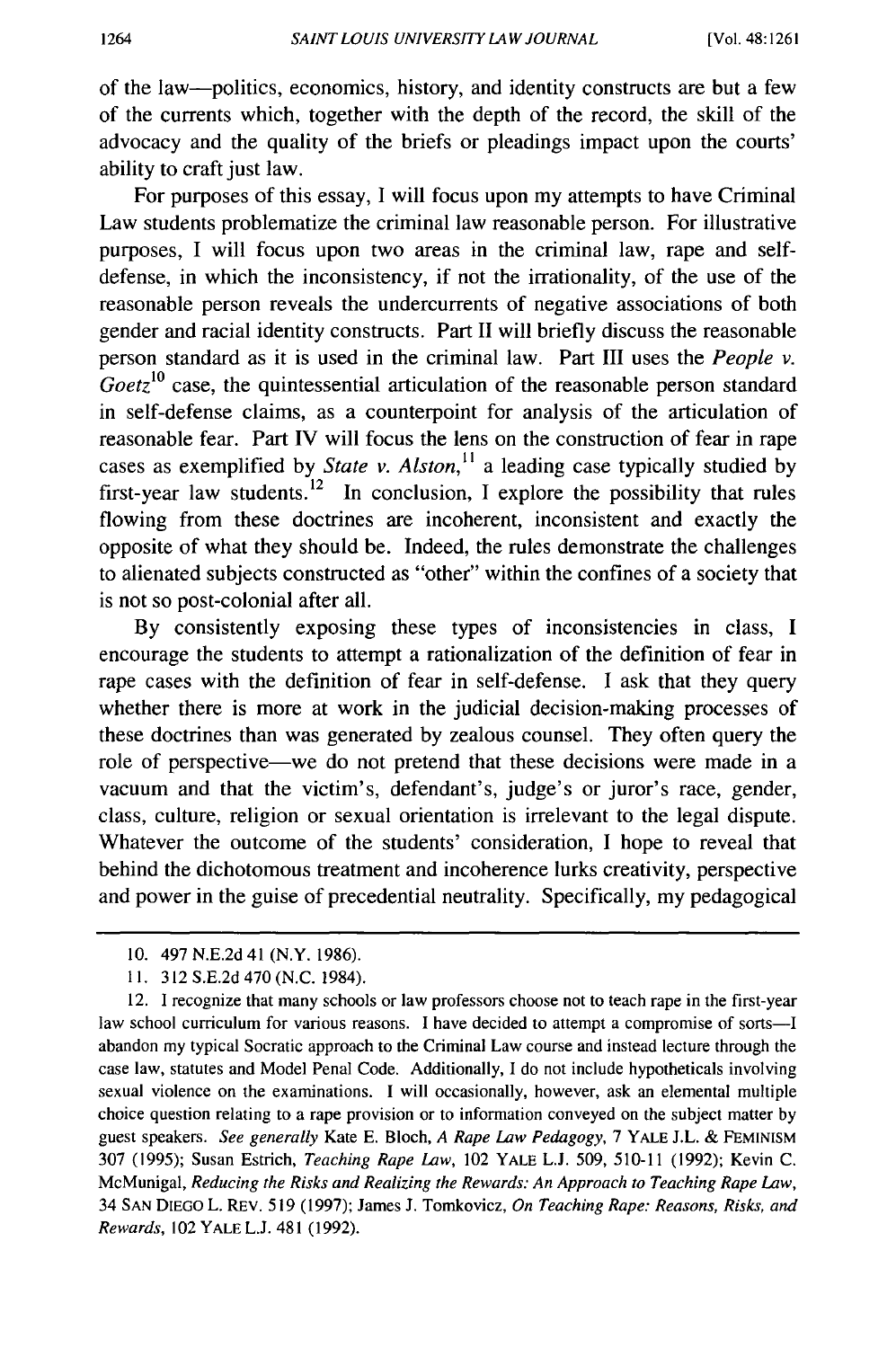of the law-politics, economics, history, and identity constructs are but a few of the currents which, together with the depth of the record, the skill of the advocacy and the quality of the briefs or pleadings impact upon the courts' ability to craft just law.

For purposes of this essay, I will focus upon my attempts to have Criminal Law students problematize the criminal law reasonable person. For illustrative purposes, I will focus upon two areas in the criminal law, rape and selfdefense, in which the inconsistency, if not the irrationality, of the use of the reasonable person reveals the undercurrents of negative associations of both gender and racial identity constructs. Part II will briefly discuss the reasonable person standard as it is used in the criminal law. Part III uses the *People v.*   $Goetz^{10}$  case, the quintessential articulation of the reasonable person standard in self-defense claims, as a counterpoint for analysis of the articulation of reasonable fear. Part IV will focus the lens on the construction of fear in rape cases as exemplified by *State v. Alston,* <sup>11</sup> a leading case typically studied by first-year law students.<sup>12</sup> In conclusion, I explore the possibility that rules flowing from these doctrines are incoherent, inconsistent and exactly the opposite of what they should be. Indeed, the rules demonstrate the challenges to alienated subjects constructed as "other" within the confines of a society that is not so post-colonial after all.

By consistently exposing these types of inconsistencies in class, I encourage the students to attempt a rationalization of the definition of fear in rape cases with the definition of fear in self-defense. I ask that they query whether there is more at work in the judicial decision-making processes of these doctrines than was generated by zealous counsel. They often query the role of perspective—we do not pretend that these decisions were made in a vacuum and that the victim's, defendant's, judge's or juror's race, gender, class, culture, religion or sexual orientation is irrelevant to the legal dispute. Whatever the outcome of the students' consideration, I hope to reveal that behind the dichotomous treatment and incoherence lurks creativity, perspective and power in the guise of precedential neutrality. Specifically, my pedagogical

IO. 497 N.E.2d41 **(N.Y.** 1986).

I I. 312 S.E.2d 470 (N.C. 1984).

<sup>12.</sup> I recognize that many schools or law professors choose not to teach rape in the first-year law school curriculum for various reasons. I have decided to attempt a compromise of sorts-I abandon my typical Socratic approach to the Criminal Law course and instead lecture through the case law, statutes and Model Penal Code. Additionally, I do not include hypotheticals involving sexual violence on the examinations. I will occasionally, however, ask an elemental multiple choice question relating to a rape provision or to information conveyed on the subject matter by guest speakers. *See generally* Kate E. Bloch, *A Rape Law Pedagogy,* 7 YALE J.L. & FEMINISM 307 (1995); Susan Estrich, *Teaching Rape Law,* 102 YALE L.J. 509, 510-11 (1992); Kevin C. McMunigal, *Reducing the Risks and Realizing the Rewards: An Approach to Teaching Rape Law,*  34 SAN DIEGO L. REV. 519 (1997); James J. Tomkovicz, *On Teaching Rape: Reasons, Risks, and Rewards,* 102 YALEL.J. 481 (1992).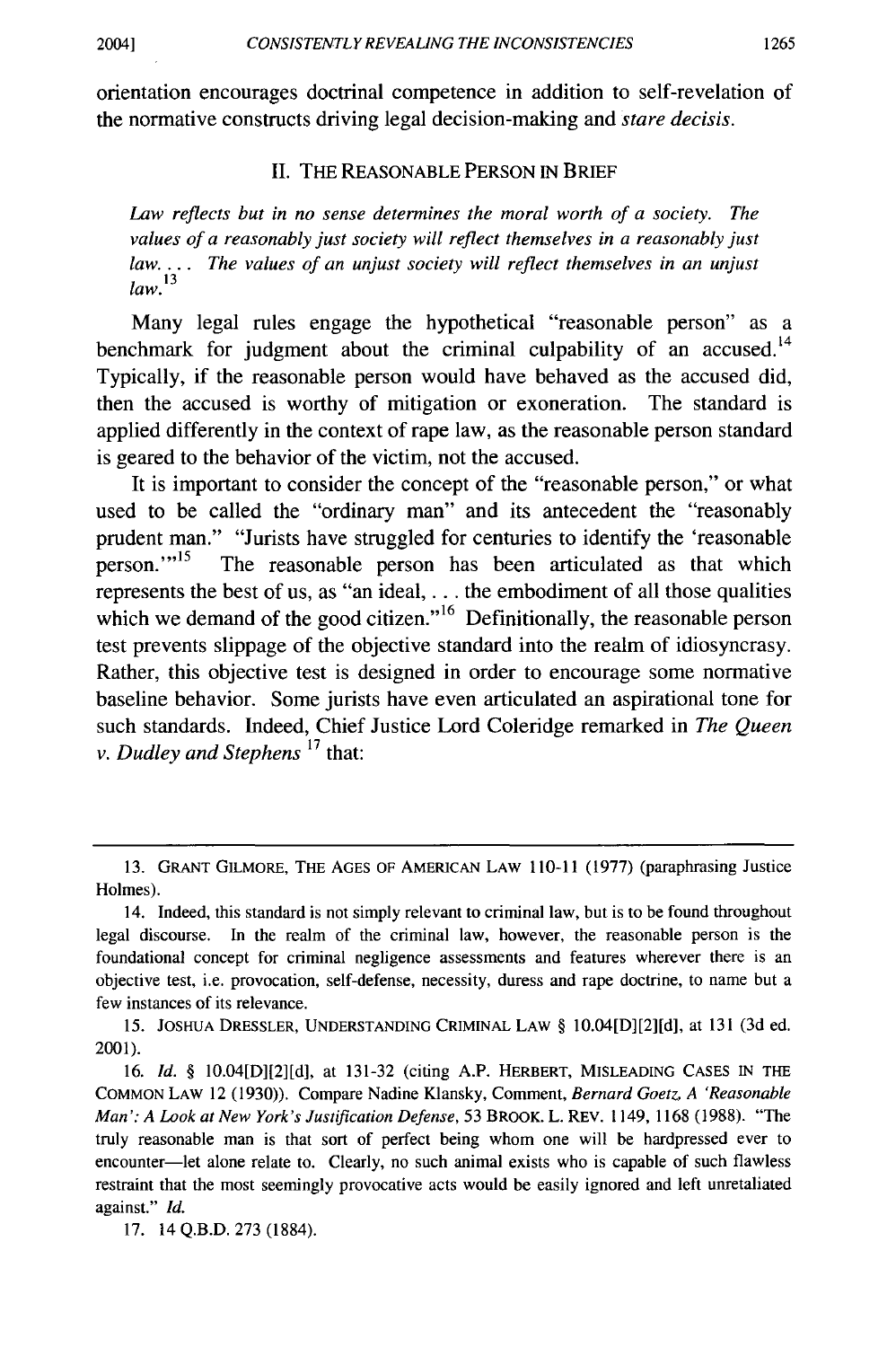orientation encourages doctrinal competence in addition to self-revelation of the normative constructs driving legal decision-making and *stare decisis.* 

## II. THE REASONABLE PERSON IN BRIEF

*Law reflects but in no sense determines the moral worth of a society. The values of a reasonably just society will reflect themselves in a reasonably just law.* . . . *The values of an unjust society will reflect themselves in an unjust law. <sup>13</sup>*

Many legal rules engage the hypothetical "reasonable person" as a benchmark for judgment about the criminal culpability of an accused.<sup>14</sup> Typically, if the reasonable person would have behaved as the accused did, then the accused is worthy of mitigation or exoneration. The standard is applied differently in the context of rape law, as the reasonable person standard is geared to the behavior of the victim, not the accused.

It is important to consider the concept of the "reasonable person," or what used to be called the "ordinary man" and its antecedent the "reasonably prudent man." "Jurists have struggled for centuries to identify the 'reasonable person."<sup>15</sup> The reasonable person has been articulated as that which represents the best of us, as "an ideal, ... the embodiment of all those qualities which we demand of the good citizen."<sup>16</sup> Definitionally, the reasonable person test prevents slippage of the objective standard into the realm of idiosyncrasy. Rather, this objective test is designed in order to encourage some normative baseline behavior. Some jurists have even articulated an aspirational tone for such standards. Indeed, Chief Justice Lord Coleridge remarked in *The Queen v. Dudley and Stephens* 17 that:

15. JOSHUA DRESSLER, UNDERSTANDING CRIMINAL LAW§ 10.04[D][2][d], at 131 (3d ed. 2001).

<sup>13.</sup> GRANT GILMORE, THE AGES OF AMERICAN LAW 110-11 (1977) (paraphrasing Justice Holmes).

<sup>14.</sup> Indeed, this standard is not simply relevant to criminal law, but is to be found throughout legal discourse. In the realm of the criminal law, however, the reasonable person is the foundational concept for criminal negligence assessments and features wherever there is an objective test, i.e. provocation, self-defense, necessity, duress and rape doctrine, to name but a few instances of its relevance.

<sup>16.</sup> *Id.* § 10.04[DJ[2][d], at 131-32 (citing A.P. HERBERT, MISLEADING CASES IN THE COMMON LAW 12 (1930)). Compare Nadine Klansky, Comment, *Bernard Goetz, A 'Reasonable Man': A Look at New York's Justification Defense,* 53 BROOK. L. REV. 1149, 1168 (1988). "The truly reasonable man is that sort of perfect being whom one will be hardpressed ever to encounter-let alone relate to. Clearly, no such animal exists who is capable of such flawless restraint that the most seemingly provocative acts would be easily ignored and left unretaliated against." *Id.* 

<sup>17. 14</sup> Q.B.D. 273 (1884).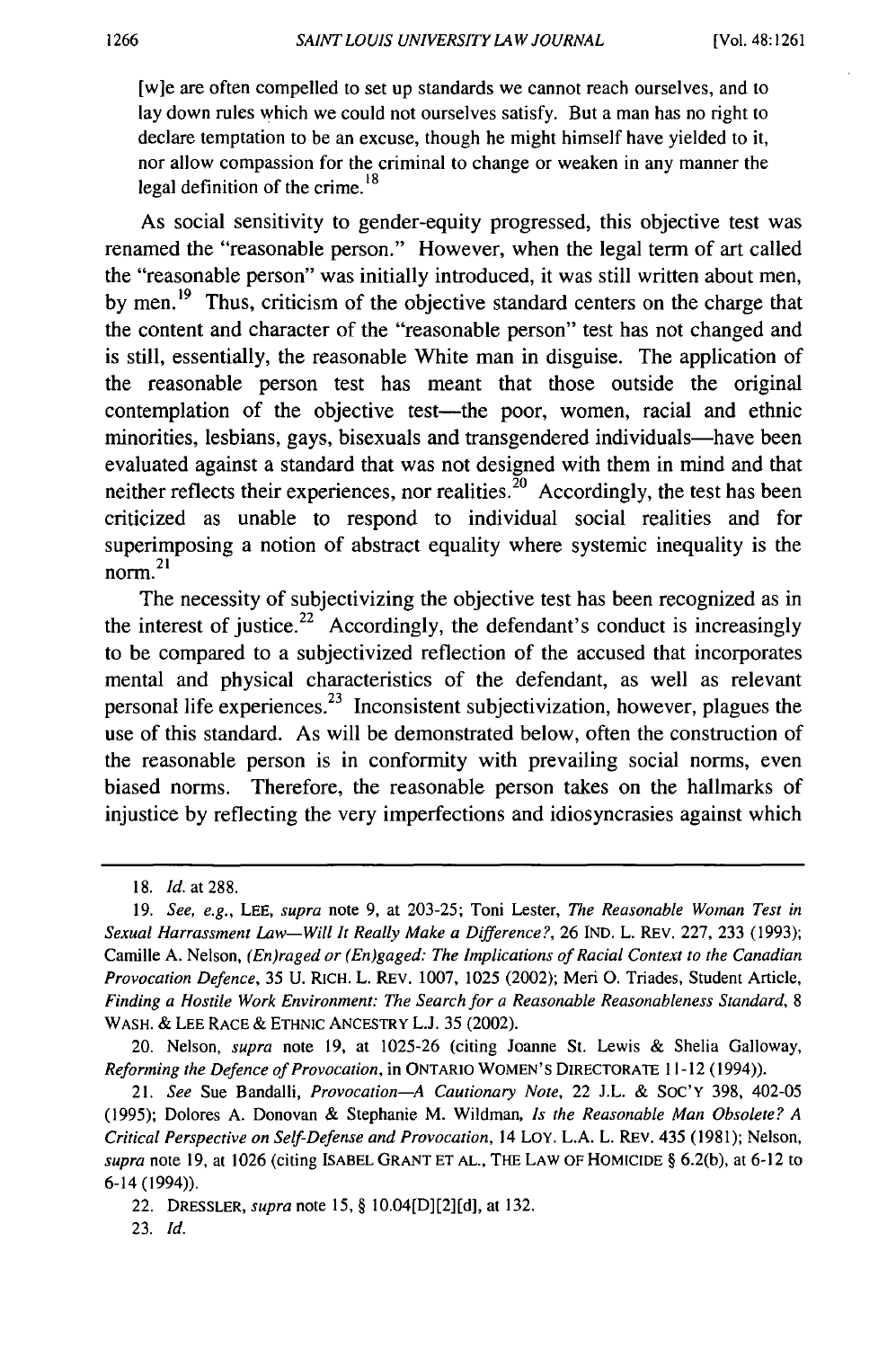[w]e are often compelled to set up standards we cannot reach ourselves, and to lay down rules which we could not ourselves satisfy. But a man has no right to declare temptation to be an excuse, though he might himself have yielded to it, nor allow compassion for the criminal to change or weaken in any manner the legal definition of the crime.<sup>18</sup>

As social sensitivity to gender-equity progressed, this objective test was renamed the "reasonable person." However, when the legal term of art called the "reasonable person" was initially introduced, it was still written about men, by men.<sup>19</sup> Thus, criticism of the objective standard centers on the charge that the content and character of the "reasonable person" test has not changed and is still, essentially, the reasonable White man in disguise. The application of the reasonable person test has meant that those outside the original contemplation of the objective test—the poor, women, racial and ethnic minorities, lesbians, gays, bisexuals and transgendered individuals—have been evaluated against a standard that was not designed with them in mind and that neither reflects their experiences, nor realities.  $\frac{1}{20}$  Accordingly, the test has been criticized as unable to respond to individual social realities and for superimposing a notion of abstract equality where systemic inequality is the norm.<sup>21</sup>

The necessity of subjectivizing the objective test has been recognized as in the interest of justice.<sup>22</sup> Accordingly, the defendant's conduct is increasingly to be compared to a subjectivized reflection of the accused that incorporates mental and physical characteristics of the defendant, as well as relevant personal life experiences.<sup>23</sup> Inconsistent subjectivization, however, plagues the use of this standard. As will be demonstrated below, often the construction of the reasonable person is in conformity with prevailing social norms, even biased norms. Therefore, the reasonable person takes on the hallmarks of injustice by reflecting the very imperfections and idiosyncrasies against which

<sup>18.</sup> *Id.* at 288.

<sup>19.</sup> *See, e.g.,* LEE, *supra* note 9, at 203-25; Toni Lester, *The Reasonable Woman Test in Sexual Harrassment Law-Will It Really Make a Difference?,* 26 IND. L. REV. 227, 233 (1993); Camille A. Nelson, *(En)raged or (En)gaged: The Implications of Racial Context to the Canadian Provocation Defence,* 35 U. RICH. L. REV. 1007, 1025 (2002); Meri 0. Triades, Student Article, *Finding a Hostile Work Environment: The Search for a Reasonable Reasonableness Standard,* 8 WASH. & LEE RACE & ETHNIC ANCESTRY **L.J.** 35 (2002).

<sup>20.</sup> Nelson, *supra* note 19, at 1025-26 (citing Joanne St. Lewis & Shelia Galloway, *Reforming the Defence of Provocation,* in ONTARIO WOMEN'S DIRECTORATE 11-12 (1994)).

<sup>21.</sup> *See* Sue Bandalli, *Provocation-A Cautionary Note,* 22 J.L. & SoC'Y 398, 402-05 (1995); Dolores A. Donovan & Stephanie M. Wildman, *ls the Reasonable Man Obsolete? A Critical Perspective on Self-Defense and Provocation,* 14 LOY. L.A. L. REv. 435 (1981); Nelson, *supra* note 19, at 1026 (citing ISABEL GRANT ET AL., THE LAW OF HOMICIDE§ 6.2(b), at 6-12 to 6-14 (1994)).

<sup>22.</sup> DRESSLER, *supra* note 15, § 10.04[D][2][d], at 132.

<sup>23.</sup> *Id.*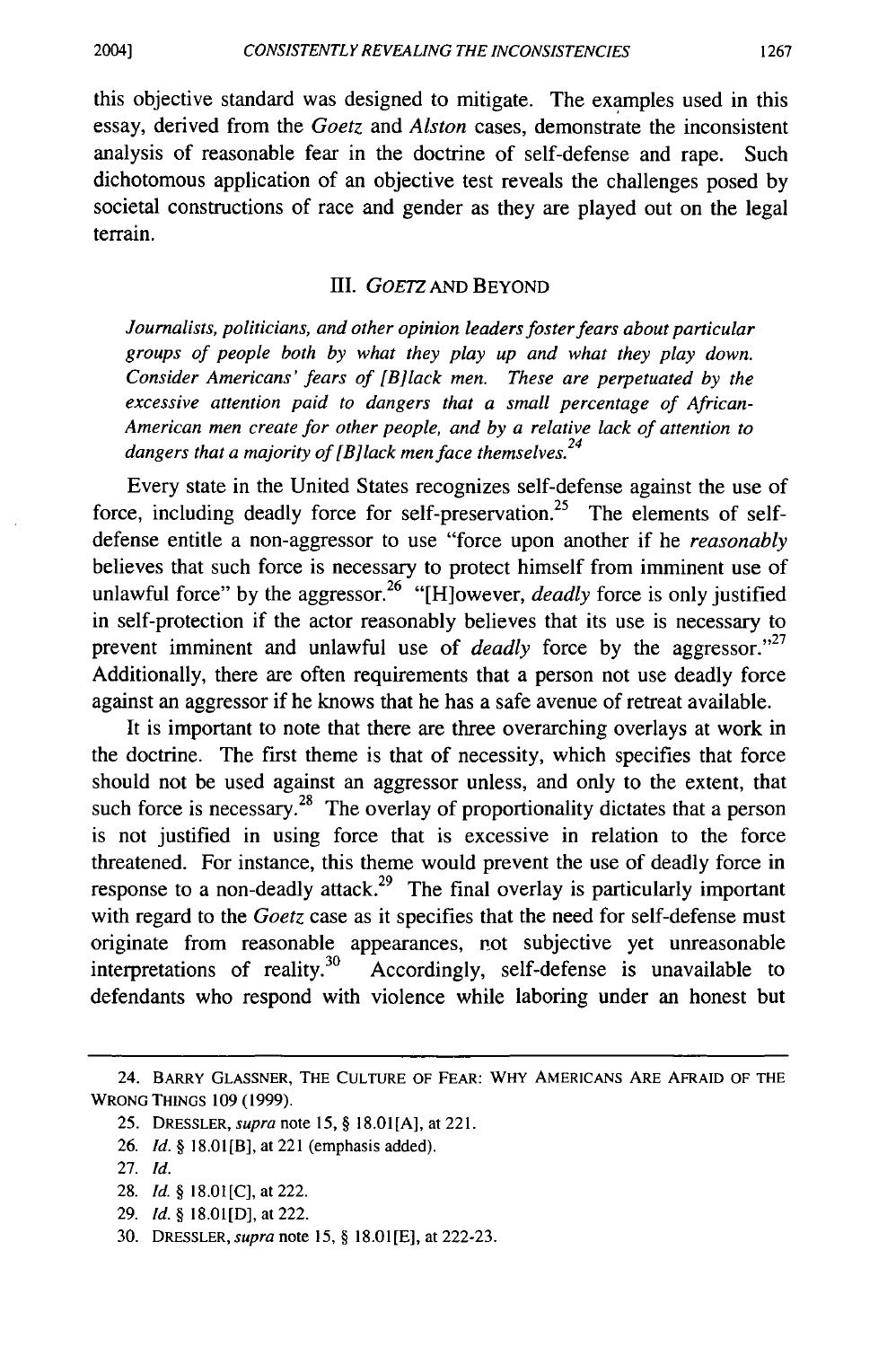this objective standard was designed to mitigate. The examples used in this essay, derived from the *Goetz* and *Alston* cases, demonstrate the inconsistent analysis of reasonable fear in the doctrine of self-defense and rape. Such dichotomous application of an objective test reveals the challenges posed by societal constructions of race and gender as they are played out on the legal terrain.

## III. GOETZ AND BEYOND

*Journalists, politicians, and other opinion leaders foster fears about particular groups of people both by what they play up and what they play down. Consider Americans' fears of {B]lack men. These are perpetuated by the excessive attention paid to dangers that a small percentage of African-American men create for other people, and by a relative lack of attention to dangers that a majority of* {BJ *lack men face themselves. <sup>24</sup>*

Every state in the United States recognizes self-defense against the use of force, including deadly force for self-preservation.<sup>25</sup> The elements of selfdefense entitle a non-aggressor to use "force upon another if he *reasonably*  believes that such force is necessary to protect himself from imminent use of unlawful force" by the aggressor. 26 "[H]owever, *deadly* force is only justified in self-protection if the actor reasonably believes that its use is necessary to prevent imminent and unlawful use of *deadly* force by the aggressor."<sup>27</sup> Additionally, there are often requirements that a person not use deadly force against an aggressor if he knows that he has a safe avenue of retreat available.

It is important to note that there are three overarching overlays at work in the doctrine. The first theme is that of necessity, which specifies that force should not be used against an aggressor unless, and only to the extent, that such force is necessary.<sup>28</sup> The overlay of proportionality dictates that a person is not justified in using force that is excessive in relation to the force threatened. For instance, this theme would prevent the use of deadly force in response to a non-deadly attack.<sup>29</sup> The final overlay is particularly important with regard to the *Goetz* case as it specifies that the need for self-defense must originate from reasonable appearances, not subjective yet unreasonable interpretations of reality.<sup>30</sup> Accordingly, self-defense is unavailable to defendants who respond with violence while laboring under an honest but

<sup>24.</sup> BARRY GLASSNER, THE CULTURE OF FEAR: WHY AMERICANS ARE AFRAID OF THE WRONG THINGS 109 (1999).

<sup>25.</sup> DRESSLER, *supra* note 15, § 18.0l[A], at 221.

<sup>26.</sup> *Id.§* 18.01[B], at 221 (emphasis added).

<sup>27.</sup> *Id.* 

<sup>28.</sup> *Id.§* 18.0l[C], at 222.

<sup>29.</sup> *Id.§* 18.0l[D], at 222.

<sup>30.</sup> DRESSLER, *supra* note 15, § 18.0l[E], at 222-23.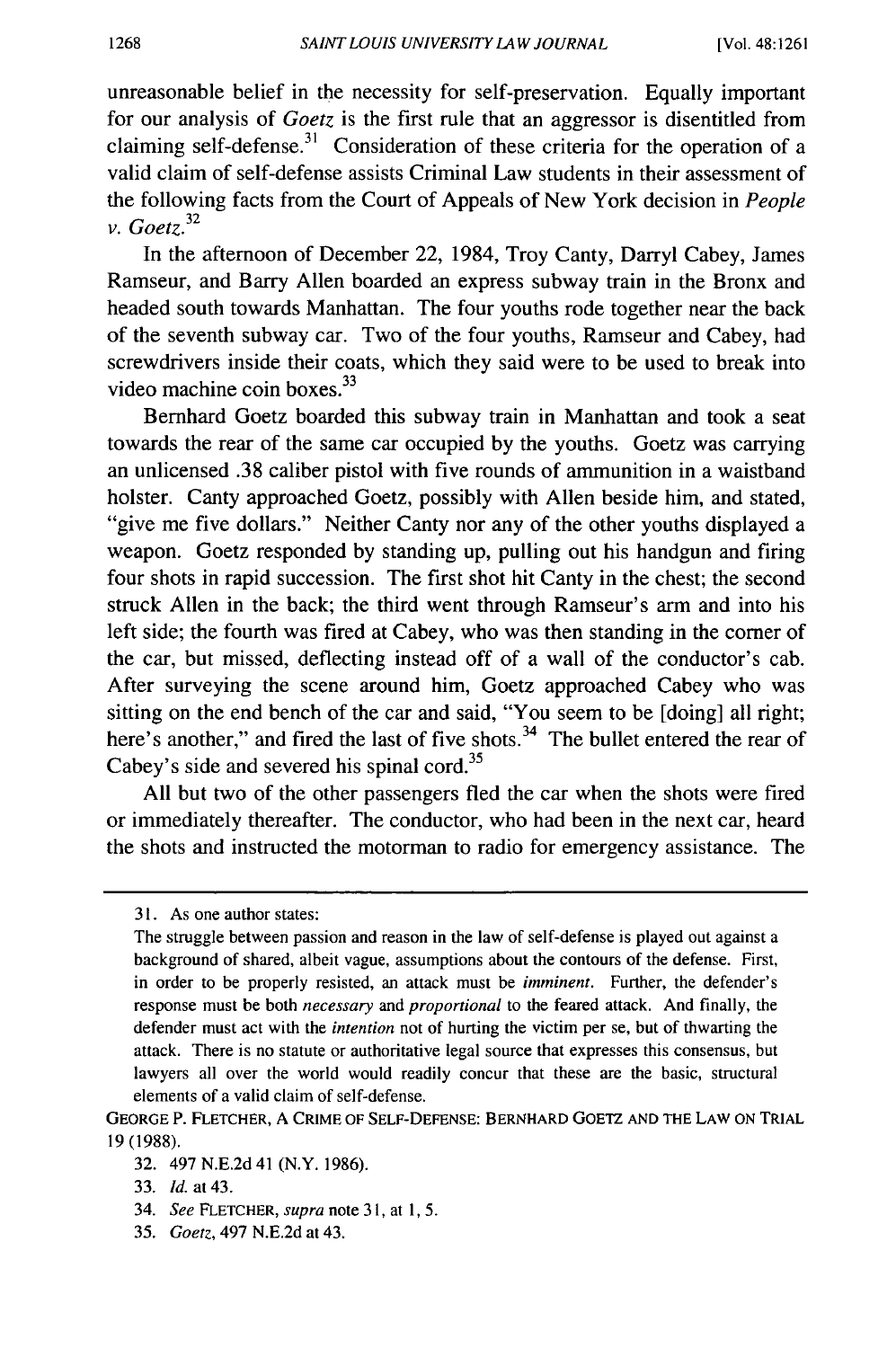unreasonable belief in the necessity for self-preservation. Equally important for our analysis of *Goetz* is the first rule that an aggressor is disentitled from claiming self-defense.<sup>31</sup> Consideration of these criteria for the operation of a valid claim of self-defense assists Criminal Law students in their assessment of the following facts from the Court of Appeals of New York decision in *People v. Goetz. <sup>32</sup>*

In the afternoon of December 22, 1984, Troy Canty, Darryl Cabey, James Ramseur, and Barry Allen boarded an express subway train in the Bronx and headed south towards Manhattan. The four youths rode together near the back of the seventh subway car. Two of the four youths, Ramseur and Cabey, had screwdrivers inside their coats, which they said were to be used to break into video machine coin boxes.<sup>33</sup>

Bernhard Goetz boarded this subway train in Manhattan and took a seat towards the rear of the same car occupied by the youths. Goetz was carrying an unlicensed .38 caliber pistol with five rounds of ammunition in a waistband holster. Canty approached Goetz, possibly with Allen beside him, and stated, "give me five dollars." Neither Canty nor any of the other youths displayed a weapon. Goetz responded by standing up, pulling out his handgun and firing four shots in rapid succession. The first shot hit Canty in the chest; the second struck Allen in the back; the third went through Ramseur's arm and into his left side; the fourth was fired at Cabey, who was then standing in the comer of the car, but missed, deflecting instead off of a wall of the conductor's cab. After surveying the scene around him, Goetz approached Cabey who was sitting on the end bench of the car and said, "You seem to be [doing] all right; here's another," and fired the last of five shots.<sup>34</sup> The bullet entered the rear of Cabey's side and severed his spinal cord.<sup>35</sup>

All but two of the other passengers fled the car when the shots were fired or immediately thereafter. The conductor, who had been in the next car, heard the shots and instructed the motorman to radio for emergency assistance. The

<sup>31.</sup> As one author states:

The struggle between passion and reason in the law of self-defense is played out against a background of shared, albeit vague, assumptions about the contours of the defense. First, in order to be properly resisted, an attack must be *imminent.* Further, the defender's response must be both *necessary* and *proportional* to the feared attack. And finally, the defender must act with the *intention* not of hurting the victim per se, but of thwarting the attack. There is no statute or authoritative legal source that expresses this consensus, but lawyers all over the world would readily concur that these are the basic, structural elements of a valid claim of self-defense.

GEORGE P. FLETCHER, A CRIME OF SELF-DEFENSE: BERNHARD GOETZ AND THE LAW ON TRIAL 19 (1988).

<sup>32. 497</sup> N.E.2d 41 **(N.Y.** 1986).

<sup>33.</sup> *Id.* at 43.

<sup>34.</sup> *See* FLETCHER, *supra* note 31, at I, 5.

<sup>35.</sup> *Goetz,* 497 N.E.2d at 43.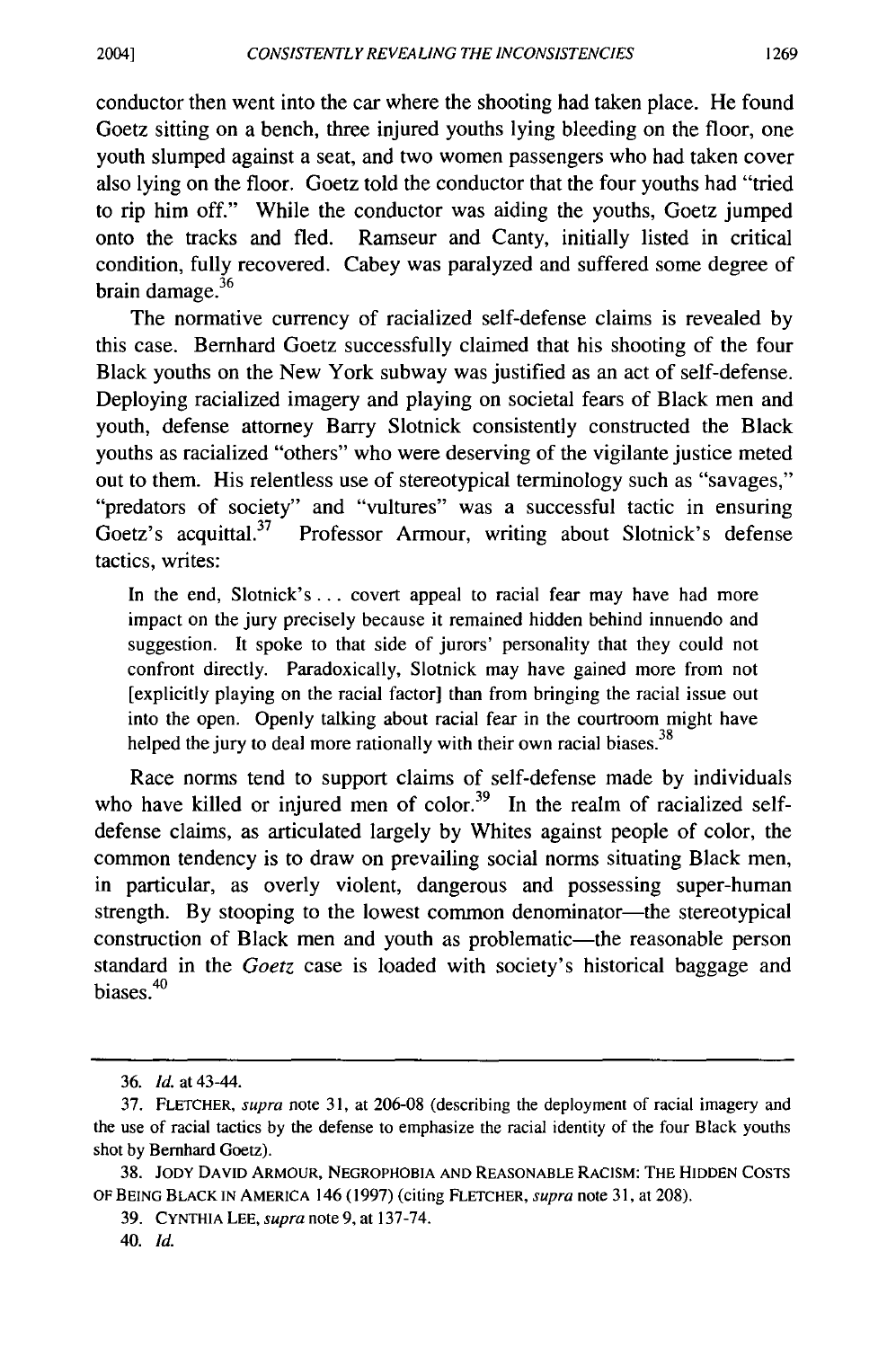conductor then went into the car where the shooting had taken place. He found Goetz sitting on a bench, three injured youths lying bleeding on the floor, one youth slumped against a seat, and two women passengers who had taken cover also lying on the floor. Goetz told the conductor that the four youths had "tried to rip him off." While the conductor was aiding the youths, Goetz jumped onto the tracks and fled. Ramseur and Canty, initially listed in critical condition, fully recovered. Cabey was paralyzed and suffered some degree of brain damage. $36$ 

The normative currency of racialized self-defense claims is revealed by this case. Bernhard Goetz successfully claimed that his shooting of the four Black youths on the New York subway was justified as an act of self-defense. Deploying racialized imagery and playing on societal fears of Black men and youth, defense attorney Barry Slotnick consistently constructed the Black youths as racialized "others" who were deserving of the vigilante justice meted out to them. His relentless use of stereotypical terminology such as "savages," "predators of society" and "vultures" was a successful tactic in ensuring Goetz's acquittal.<sup>37</sup> Professor Armour, writing about Slotnick's defense tactics, writes:

In the end, Slotnick's ... covert appeal to racial fear may have had more impact on the jury precisely because it remained hidden behind innuendo and suggestion. It spoke to that side of jurors' personality that they could not confront directly. Paradoxically, Slotnick may have gained more from not [explicitly playing on the racial factor] than from bringing the racial issue out into the open. Openly talking about racial fear in the courtroom might have helped the jury to deal more rationally with their own racial biases. $38$ 

Race norms tend to support claims of self-defense made by individuals who have killed or injured men of color.<sup>39</sup> In the realm of racialized selfdefense claims, as articulated largely by Whites against people of color, the common tendency is to draw on prevailing social norms situating Black men, in particular, as overly violent, dangerous and possessing super-human strength. By stooping to the lowest common denominator—the stereotypical construction of Black men and youth as problematic-the reasonable person standard in the *Goetz* case is loaded with society's historical baggage and biases.<sup>40</sup>

<sup>36.</sup> *Id.* at 43-44.

<sup>37.</sup> FLETCHER, *supra* note 31, at 206-08 (describing the deployment of racial imagery and the use of racial tactics by the defense to emphasize the racial identity of the four Black youths shot by Bernhard Goetz).

<sup>38.</sup> JODY DAVID ARMOUR, NEGROPHOBIA AND REASONABLE RACISM: THE HIDDEN COSTS OF BEING BLACK IN AMERICA 146 ( 1997) ( citing FLETCHER, *supra* note 31, at 208).

<sup>39.</sup> CYNTHIA LEE, *supra* note 9, at 137-74.

<sup>40.</sup> *Id.*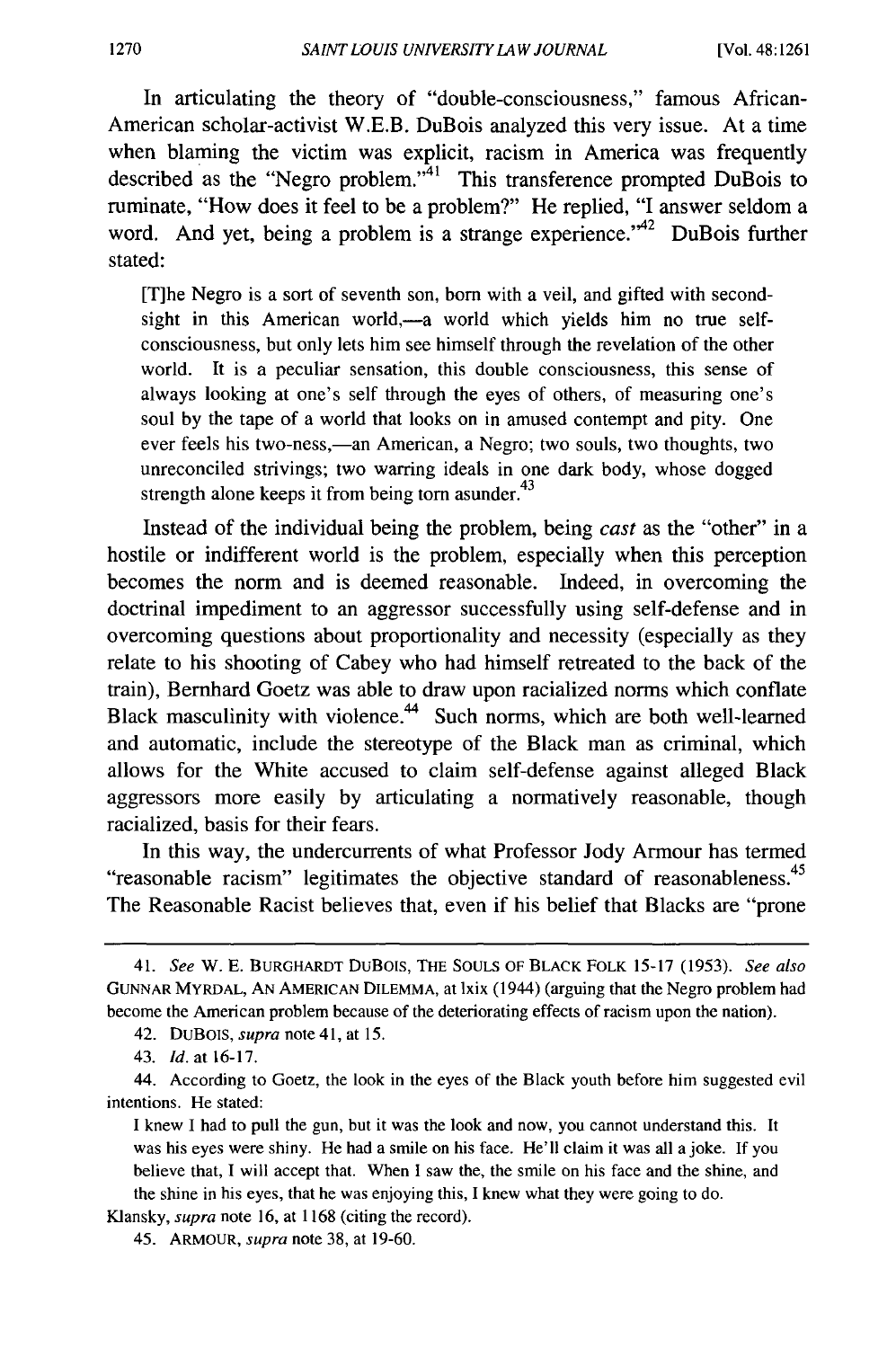In articulating the theory of "double-consciousness," famous African-American scholar-activist W.E.B. DuBois analyzed this very issue. At a time when blaming the victim was explicit, racism in America was frequently described as the "Negro problem."41 This transference prompted DuBois to ruminate, "How does it feel to be a problem?" He replied, "I answer seldom a word. And yet, being a problem is a strange experience.<sup> $42$ </sup> DuBois further stated:

[T]he Negro is a sort of seventh son, born with a veil, and gifted with secondsight in this American world,—a world which yields him no true selfconsciousness, but only lets him see himself through the revelation of the other world. It is a peculiar sensation, this double consciousness, this sense of always looking at one's self through the eyes of others, of measuring one's soul by the tape of a world that looks on in amused contempt and pity. One ever feels his two-ness,—an American, a Negro; two souls, two thoughts, two unreconciled strivings; two warring ideals in one dark body, whose dogged strength alone keeps it from being torn asunder. $43$ 

Instead of the individual being the problem, being *cast* as the "other" in a hostile or indifferent world is the problem, especially when this perception becomes the norm and is deemed reasonable. Indeed, in overcoming the doctrinal impediment to an aggressor successfully using self-defense and in overcoming questions about proportionality and necessity (especially as they relate to his shooting of Cabey who had himself retreated to the back of the train), Bernhard Goetz was able to draw upon racialized norms which conflate Black masculinity with violence.<sup>44</sup> Such norms, which are both well-learned and automatic, include the stereotype of the Black man as criminal, which allows for the White accused to claim self-defense against alleged Black aggressors more easily by articulating a normatively reasonable, though racialized, basis for their fears.

In this way, the undercurrents of what Professor Jody Armour has termed "reasonable racism" legitimates the objective standard of reasonableness.<sup>45</sup> The Reasonable Racist believes that, even if his belief that Blacks are "prone

<sup>41.</sup> *See* w. E. BURGHARDT DuBOIS, THE SOULS OF BLACK FOLK 15-17 (1953). *See also*  GUNNAR MYRDAL, AN AMERICAN DILEMMA, at lxix (1944) (arguing that the Negro problem had become the American problem because of the deteriorating effects of racism upon the nation).

<sup>42.</sup> DUBOIS, *supra* note 41, at 15.

<sup>43.</sup> Id.at16-17.

<sup>44.</sup> According to Goetz, the look in the eyes of the Black youth before him suggested evil intentions. He stated:

I knew I had to pull the gun, but it was the look and now, you cannot understand this. It was his eyes were shiny. He had a smile on his face. He'll claim it was all a joke. If you believe that, I will accept that. When I saw the, the smile on his face and the shine, and the shine in his eyes, that he was enjoying this, I knew what they were going to do.

Klansky, *supra* note 16, at 1168 (citing the record).

<sup>45.</sup> ARMOUR, *supra* note 38, at 19-60.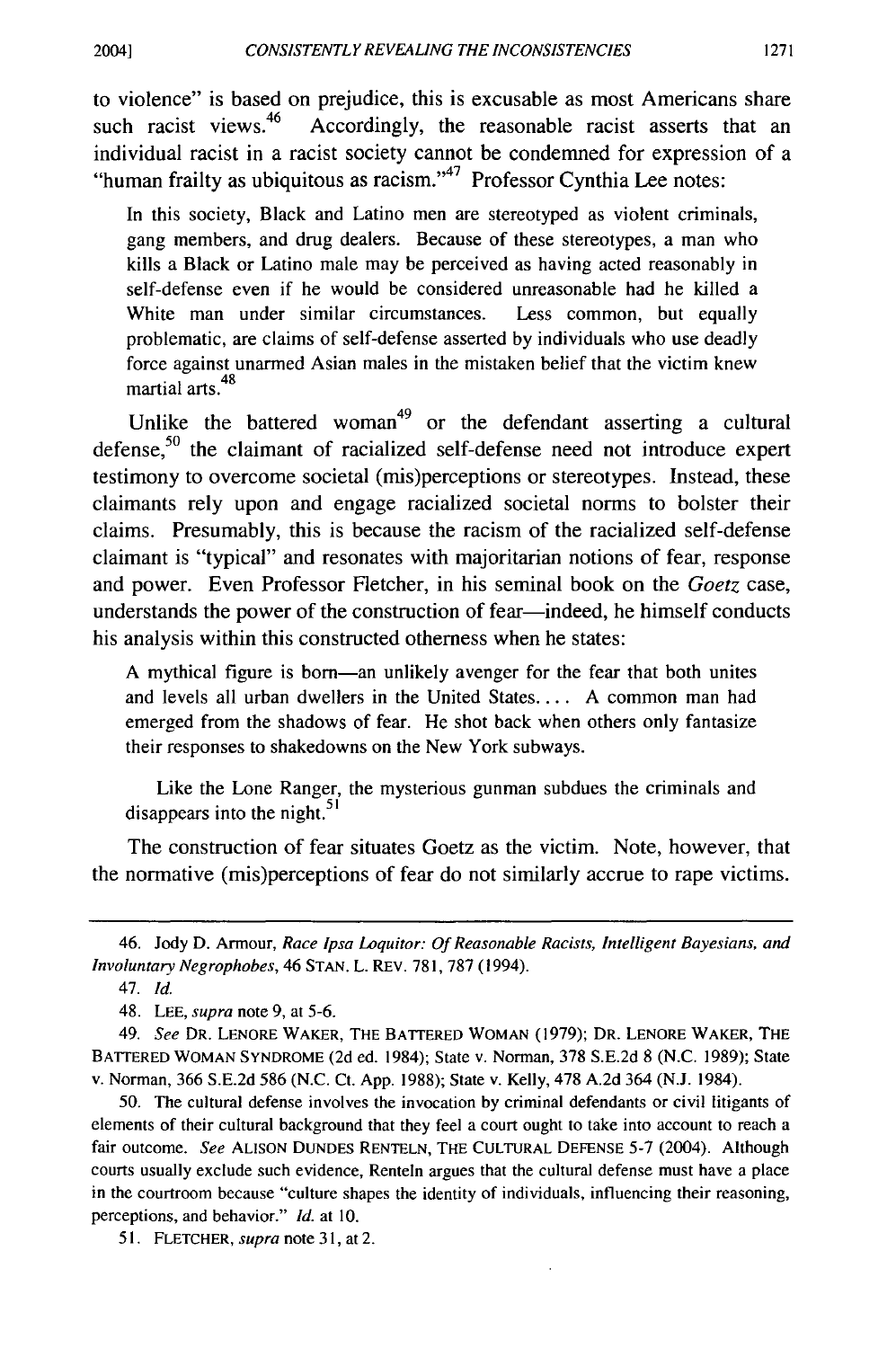to violence" is based on prejudice, this is excusable as most Americans share such racist views.<sup>46</sup> Accordingly, the reasonable racist asserts that an individual racist in a racist society cannot be condemned for expression of a "human frailty as ubiquitous as racism."<sup>47</sup> Professor Cynthia Lee notes:

In this society, Black and Latino men are stereotyped as violent criminals, gang members, and drug dealers. Because of these stereotypes, a man who kills a Black or Latino male may be perceived as having acted reasonably in self-defense even if he would be considered unreasonable had he killed a White man under similar circumstances. Less common, but equally problematic, are claims of self-defense asserted by individuals who use deadly force against unarmed Asian males in the mistaken belief that the victim knew martial arts.<sup>48</sup>

Unlike the battered woman<sup>49</sup> or the defendant asserting a cultural defense.<sup>50</sup> the claimant of racialized self-defense need not introduce expert testimony to overcome societal (mis)perceptions or stereotypes. Instead, these claimants rely upon and engage racialized societal norms to bolster their claims. Presumably, this is because the racism of the racialized self-defense claimant is "typical" and resonates with majoritarian notions of fear, response and power. Even Professor Fletcher, in his seminal book on the *Goetz* case, understands the power of the construction of fear-indeed, he himself conducts his analysis within this constructed otherness when he states:

A mythical figure is born—an unlikely avenger for the fear that both unites and levels all urban dwellers in the United States. . . . A common man had emerged from the shadows of fear. He shot back when others only fantasize their responses to shakedowns on the New York subways.

Like the Lone Ranger, the mysterious gunman subdues the criminals and disappears into the night. $51$ 

The construction of fear situates Goetz as the victim. Note, however, that the normative (mis)perceptions of fear do not similarly accrue to rape victims.

51. FLETCHER, *supra* note 31, at 2.

<sup>46.</sup> Jody D. Armour, *Race lpsa Loquitor: Of Reasonable Racists, Intelligent Bayesians, and Involuntary Negrophobes,* 46 STAN. L. REV. 781, 787 (1994).

<sup>47.</sup> *Id.* 

<sup>48.</sup> LEE, *supra* note 9, at 5-6.

<sup>49.</sup> *See* DR. LENORE WAKER, THE BATTERED WOMAN (1979); DR. LENORE WAKER, THE BATTERED WOMAN SYNDROME (2d ed. 1984); State v. Norman, 378 S.E.2d 8 (N.C. 1989); State v. Norman, 366 S.E.2d 586 (N.C. Ct. App. 1988); State v. Kelly, 478 A.2d 364 (NJ. 1984).

<sup>50.</sup> The cultural defense involves the invocation by criminal defendants or civil litigants of elements of their cultural background that they feel a court ought to take into account to reach a fair outcome. *See* ALISON DUNDES RENTELN, THE CULTURAL DEFENSE 5-7 (2004). Although courts usually exclude such evidence, Renteln argues that the cultural defense must have a place in the courtroom because "culture shapes the identity of individuals, influencing their reasoning, perceptions, and behavior." *Id.* at IO.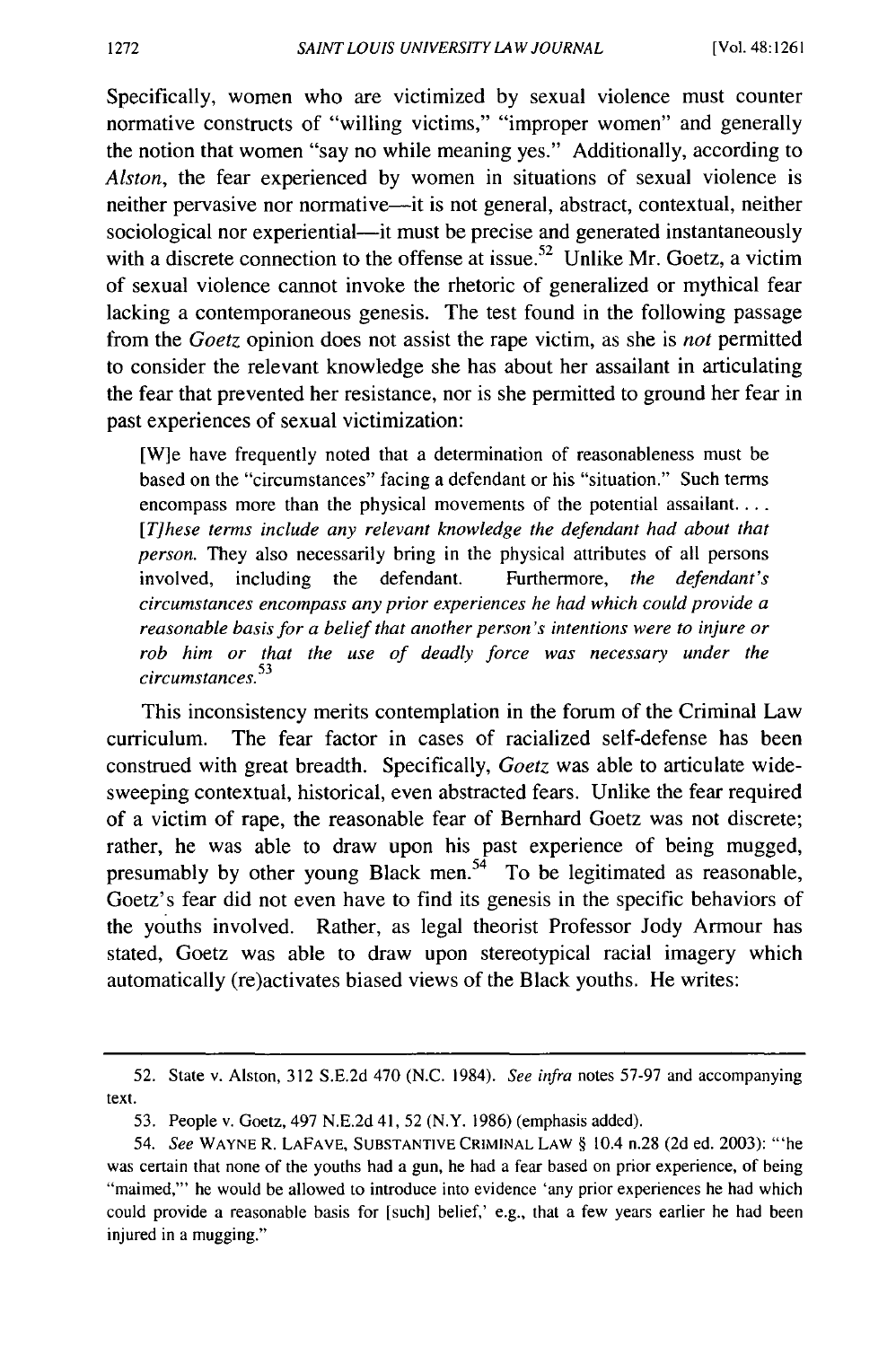Specifically, women who are victimized by sexual violence must counter normative constructs of "willing victims," "improper women" and generally the notion that women "say no while meaning yes." Additionally, according to *Alston,* the fear experienced by women in situations of sexual violence is neither pervasive nor normative—it is not general, abstract, contextual, neither sociological nor experiential—it must be precise and generated instantaneously with a discrete connection to the offense at issue.<sup>52</sup> Unlike Mr. Goetz, a victim of sexual violence cannot invoke the rhetoric of generalized or mythical fear lacking a contemporaneous genesis. The test found in the following passage from the *Goetz* opinion does not assist the rape victim, as she is *not* permitted to consider the relevant knowledge she has about her assailant in articulating the fear that prevented her resistance, nor is she permitted to ground her fear in past experiences of sexual victimization:

[W]e have frequently noted that a determination of reasonableness must be based on the "circumstances" facing a defendant or his "situation." Such terms encompass more than the physical movements of the potential assailant. ... *[T]hese terms include any relevant knowledge the defendant had about that person.* They also necessarily bring in the physical attributes of all persons involved, including the defendant. Furthermore, *the defendant's circumstances encompass any prior experiences he had which could provide a reasonable basis for a belief that another person's intentions were to injure or rob him or that the use of deadly force was necessary under the circumstances.* <sup>53</sup>

This inconsistency merits contemplation in the forum of the Criminal Law curriculum. The fear factor in cases of racialized self-defense has been construed with great breadth. Specifically, *Goetz* was able to articulate widesweeping contextual, historical, even abstracted fears. Unlike the fear required of a victim of rape, the reasonable fear of Bernhard Goetz was not discrete; rather, he was able to draw upon his past experience of being mugged, presumably by other young Black men.<sup>54</sup> To be legitimated as reasonable, Goetz's fear did not even have to find its genesis in the specific behaviors of the youths involved. Rather, as legal theorist Professor Jody Armour has stated, Goetz was able to draw upon stereotypical racial imagery which automatically (re)activates biased views of the Black youths. He writes:

<sup>52.</sup> State v. Alston, 312 S.E.2d 470 (N.C. 1984). *See infra* notes 57-97 and accompanying text.

<sup>53.</sup> People v. Goetz, 497 N.E.2d 41, 52 **(N.Y.** 1986) (emphasis added).

<sup>54.</sup> *See* WAYNER. LAFAVE, SUBSTANTIVE CRIMINAL LAW§ 10.4 n.28 (2d ed. 2003): '"he was certain that none of the youths had a gun, he had a fear based on prior experience, of being "maimed,"' he would be allowed to introduce into evidence 'any prior experiences he had which could provide a reasonable basis for [such] belief,' e.g., that a few years earlier he had been injured in a mugging."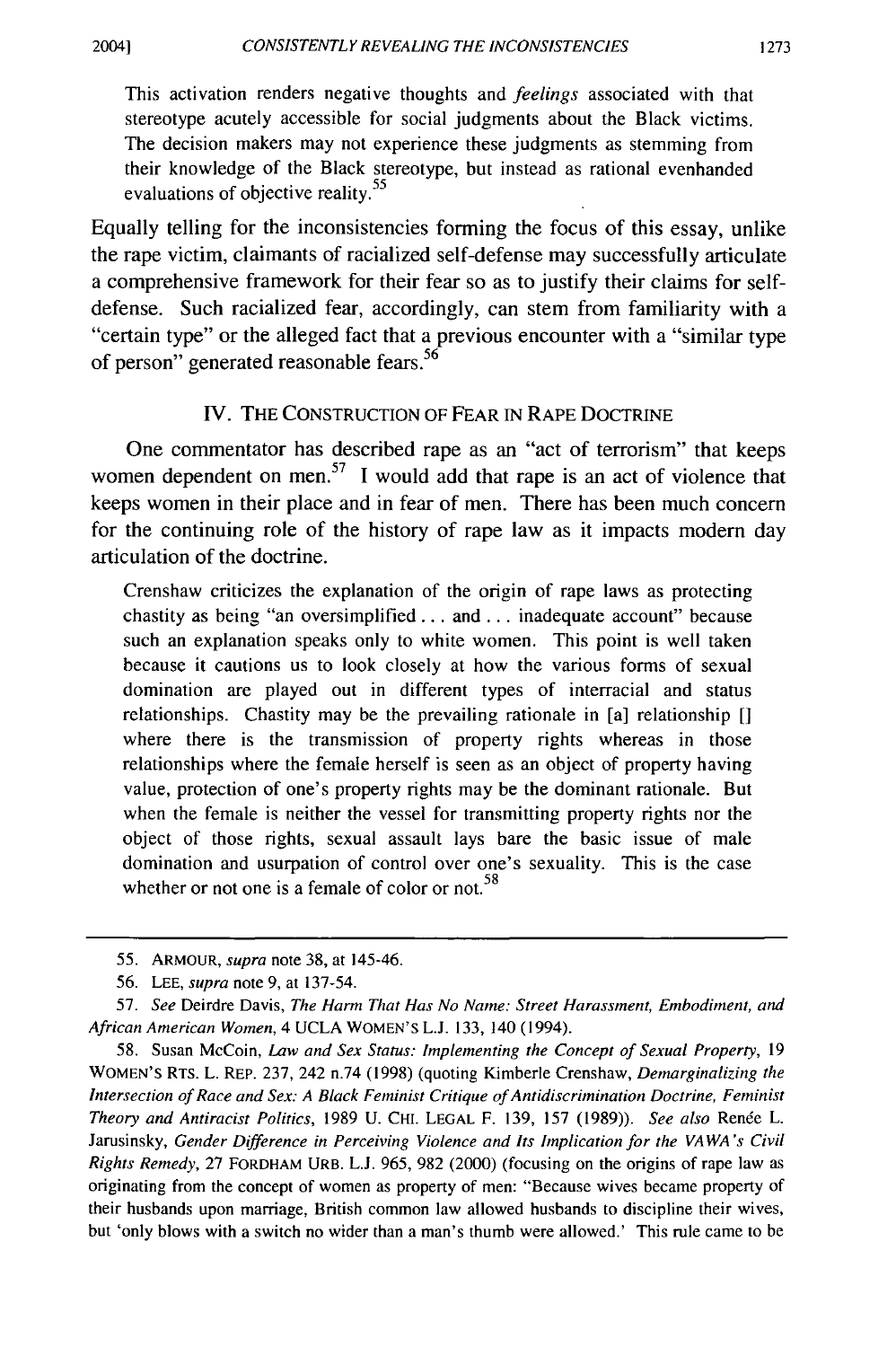This activation renders negative thoughts and *feelings* associated with that stereotype acutely accessible for social judgments about the Black victims. The decision makers may not experience these judgments as stemming from their knowledge of the Black stereotype, but instead as rational evenhanded evaluations of objective reality.<sup>55</sup>

Equally telling for the inconsistencies forming the focus of this essay, unlike the rape victim, claimants of racialized self-defense may successfully articulate a comprehensive framework for their fear so as to justify their claims for selfdefense. Such racialized fear, accordingly, can stem from familiarity with a "certain type" or the alleged fact that a previous encounter with a "similar type of person" generated reasonable fears.<sup>56</sup>

## IV. THE CONSTRUCTION OF FEAR IN RAPE DOCTRINE

One commentator has described rape as an "act of terrorism" that keeps women dependent on men.<sup>57</sup> I would add that rape is an act of violence that keeps women in their place and in fear of men. There has been much concern for the continuing role of the history of rape law as it impacts modem day articulation of the doctrine.

Crenshaw criticizes the explanation of the origin of rape laws as protecting chastity as being "an oversimplified ... and ... inadequate account" because such an explanation speaks only to white women. This point is well taken because it cautions us to look closely at how the various forms of sexual domination are played out in different types of interracial and status relationships. Chastity may be the prevailing rationale in [a] relationship [] where there is the transmission of property rights whereas in those relationships where the female herself is seen as an object of property having value, protection of one's property rights may be the dominant rationale. But when the female is neither the vessel for transmitting property rights nor the object of those rights, sexual assault lays bare the basic issue of male domination and usurpation of control over one's sexuality. This is the case whether or not one is a female of color or not.  $58$ 

<sup>55.</sup> ARMOUR, *supra* note 38, at 145-46.

<sup>56.</sup> LEE, *supra* note 9, at 137-54.

<sup>57.</sup> *See* Deirdre Davis, *The Harm That Has No Name: Street Harassment, Embodiment, and African American Women,* 4 UCLA WOMEN'S L.J. 133, 140 (1994).

<sup>58.</sup> Susan McCoin, *law and Sex Status: Implementing the Concept of Sexual Property,* 19 WOMEN'S RTS. L. REP. 237, 242 n.74 (1998) (quoting Kimberle Crenshaw, *Demarginalizing the Intersection of Race and Sex: A Black Feminist Critique of Antidiscrimination Doctrine, Feminist Theory and Anti racist Politics,* 1989 U. CHI. LEGAL F. I 39, 157 (1989)). *See also* Renee L. Jarusinsky, *Gender Difference in Perceiving Violence and Its Implication for the VAWA 's Civil Rights Remedy,* 27 FORDHAM URB. L.J. 965, 982 (2000) (focusing on the origins of rape law as originating from the concept of women as property of men: "Because wives became property of their husbands upon marriage, British common law allowed husbands to discipline their wives, but 'only blows with a switch no wider than a man's thumb were allowed.' This rule came to be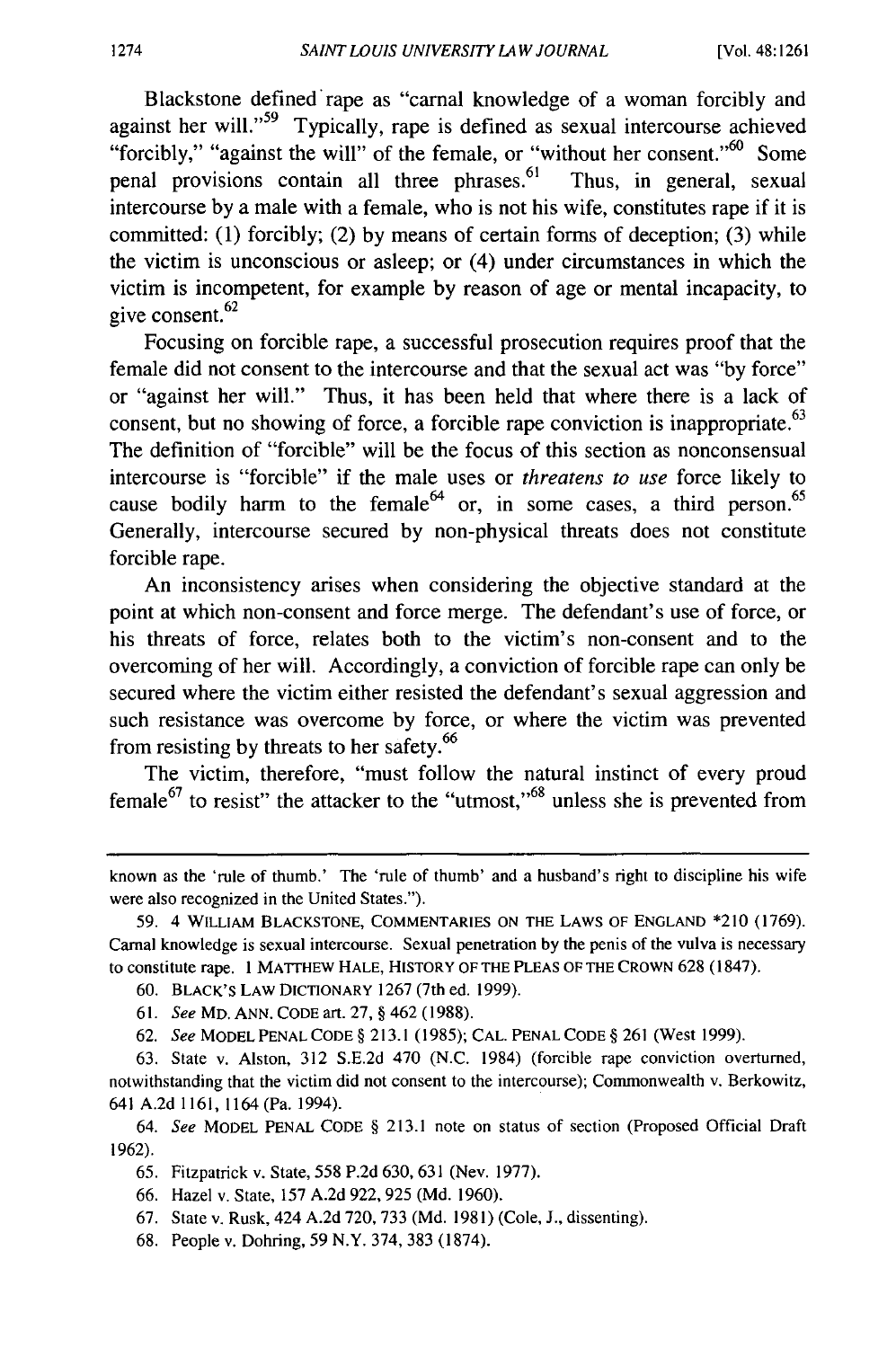Blackstone defined rape as "carnal knowledge of a woman forcibly and against her will."59 Typically, rape is defined as sexual intercourse achieved "forcibly," "against the will" of the female, or "without her consent."  $60$  Some penal provisions contain all three phrases. $61$  Thus, in general, sexual intercourse by a male with a female, who is not his wife, constitutes rape if it is committed: (1) forcibly; (2) by means of certain forms of deception; (3) while the victim is unconscious or asleep; or (4) under circumstances in which the victim is incompetent, for example by reason of age or mental incapacity, to give consent.<sup>62</sup>

Focusing on forcible rape, a successful prosecution requires proof that the female did not consent to the intercourse and that the sexual act was "by force" or "against her will." Thus, it has been held that where there is a lack of consent, but no showing of force, a forcible rape conviction is inappropriate.<sup>63</sup> The definition of "forcible" will be the focus of this section as nonconsensual intercourse is "forcible" if the male uses or *threatens to use* force likely to cause bodily harm to the female<sup>64</sup> or, in some cases, a third person.<sup>65</sup> Generally, intercourse secured by non-physical threats does not constitute forcible rape.

An inconsistency arises when considering the objective standard at the point at which non-consent and force merge. The defendant's use of force, or his threats of force, relates both to the victim's non-consent and to the overcoming of her will. Accordingly, a conviction of forcible rape can only be secured where the victim either resisted the defendant's sexual aggression and such resistance was overcome by force, or where the victim was prevented from resisting by threats to her safety.<sup>66</sup>

The victim, therefore, "must follow the natural instinct of every proud  $f$  female<sup>67</sup> to resist" the attacker to the "utmost,"<sup>68</sup> unless she is prevented from

- 60. BLACK'SLAWDICTIONARY 1267(7thed. 1999).
- 61. *See* Mo. ANN. CODE art. 27, § 462 (1988).
- 62. *See* MODEL PENAL CODE§ 2 I 3.1 (I 985); CAL. PENAL CODE§ 261 (West 1999).

known as the 'rule of thumb.' The 'rule of thumb' and a husband's right to discipline his wife were also recognized in the United States.").

<sup>59. 4</sup> WILLIAM BLACKSTONE, COMMENTARIES ON THE LAWS OF ENGLAND \*210 (1769). Carnal knowledge is sexual intercourse. Sexual penetration by the penis of the vulva is necessary to constitute rape. I MATTHEW HALE, HISTORY OF THE PLEAS OF THE CROWN 628 (1847).

<sup>63.</sup> State v. Alston, 312 S.E.2d 470 (N.C. 1984) (forcible rape conviction overturned, notwithstanding that the victim did not consent to the intercourse); Commonwealth v. Berkowitz, 641 A.2d I 161, 1164 (Pa. 1994).

<sup>64.</sup> *See* MODEL PENAL CODE § 213.1 note on status of section (Proposed Official Draft 1962).

<sup>65.</sup> Fitzpatrick v. State, 558 P.2d 630, 631 (Nev. 1977).

<sup>66.</sup> Hazel v. State, 157 A.2d 922, 925 **(Md.** 1960).

<sup>67.</sup> State v. Rusk, 424 A.2d 720, 733 (Md. 1981) (Cole, J., dissenting).

<sup>68.</sup> People v. Dohring, 59 **N.Y.** 374,383 (I 874).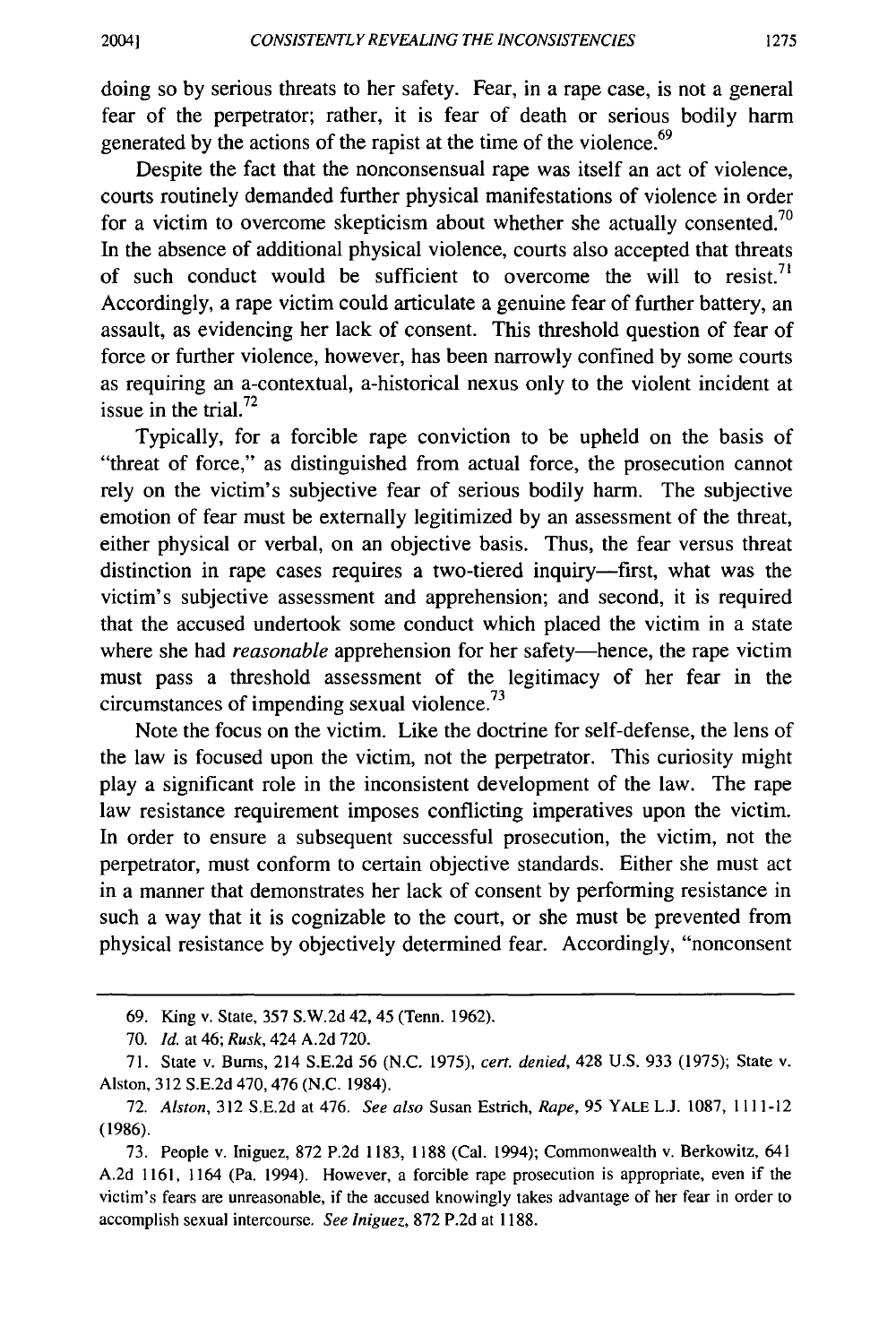doing so by serious threats to her safety. Fear, in a rape case, is not a general fear of the perpetrator; rather, it is fear of death or serious bodily harm generated by the actions of the rapist at the time of the violence.<sup>69</sup>

Despite the fact that the nonconsensual rape was itself an act of violence, courts routinely demanded further physical manifestations of violence in order for a victim to overcome skepticism about whether she actually consented.<sup>70</sup> In the absence of additional physical violence, courts also accepted that threats of such conduct would be sufficient to overcome the will to resist.<sup>71</sup> Accordingly, a rape victim could articulate a genuine fear of further battery, an assault, as evidencing her lack of consent. This threshold question of fear of force or further violence, however, has been narrowly confined by some courts as requiring an a-contextual, a-historical nexus only to the violent incident at issue in the trial. $^{72}$ 

Typically, for a forcible rape conviction to be upheld on the basis of "threat of force," as distinguished from actual force, the prosecution cannot rely on the victim's subjective fear of serious bodily harm. The subjective emotion of fear must be externally legitimized by an assessment of the threat, either physical or verbal, on an objective basis. Thus, the fear versus threat distinction in rape cases requires a two-tiered inquiry-first, what was the victim's subjective assessment and apprehension; and second, it is required that the accused undertook some conduct which placed the victim in a state where she had *reasonable* apprehension for her safety—hence, the rape victim must pass a threshold assessment of the legitimacy of her fear in the circumstances of impending sexual violence. $^{73}$ 

Note the focus on the victim. Like the doctrine for self-defense, the lens of the law is focused upon the victim, not the perpetrator. This curiosity might play a significant role in the inconsistent development of the law. The rape law resistance requirement imposes conflicting imperatives upon the victim. In order to ensure a subsequent successful prosecution, the victim, not the perpetrator, must conform to certain objective standards. Either she must act in a manner that demonstrates her lack of consent by performing resistance in such a way that it is cognizable to the court, or she must be prevented from physical resistance by objectively determined fear. Accordingly, "nonconsent

<sup>69.</sup> King v. State, 357 S.W.2d 42, 45 (Tenn. 1962).

*<sup>10.</sup> Id.* at 46; *Rusk,* 424 A.2d 720.

<sup>71.</sup> State v. Burns, 214 S.E.2d 56 (N.C. 1975), *cert. denied,* 428 U.S. 933 (1975); State v. Alston, 312 S.E.2d 470,476 (N.C. 1984).

<sup>72.</sup> *Alston,* 312 S.E.2d at 476. *See also* Susan Estrich, *Rape,* 95 YALE L.J. 1087, I I I I-12 (1986).

<sup>73.</sup> People v. Iniguez, 872 P.2d 1183, l 188 (Cal. 1994); Commonwealth v. Berkowitz, 641 A.2d 1161, 1164 (Pa. 1994). However, a forcible rape prosecution is appropriate, even if the victim's fears are unreasonable, if the accused knowingly takes advantage of her fear in order to accomplish sexual intercourse. *See Iniguez,* 872 P.2d at 1188.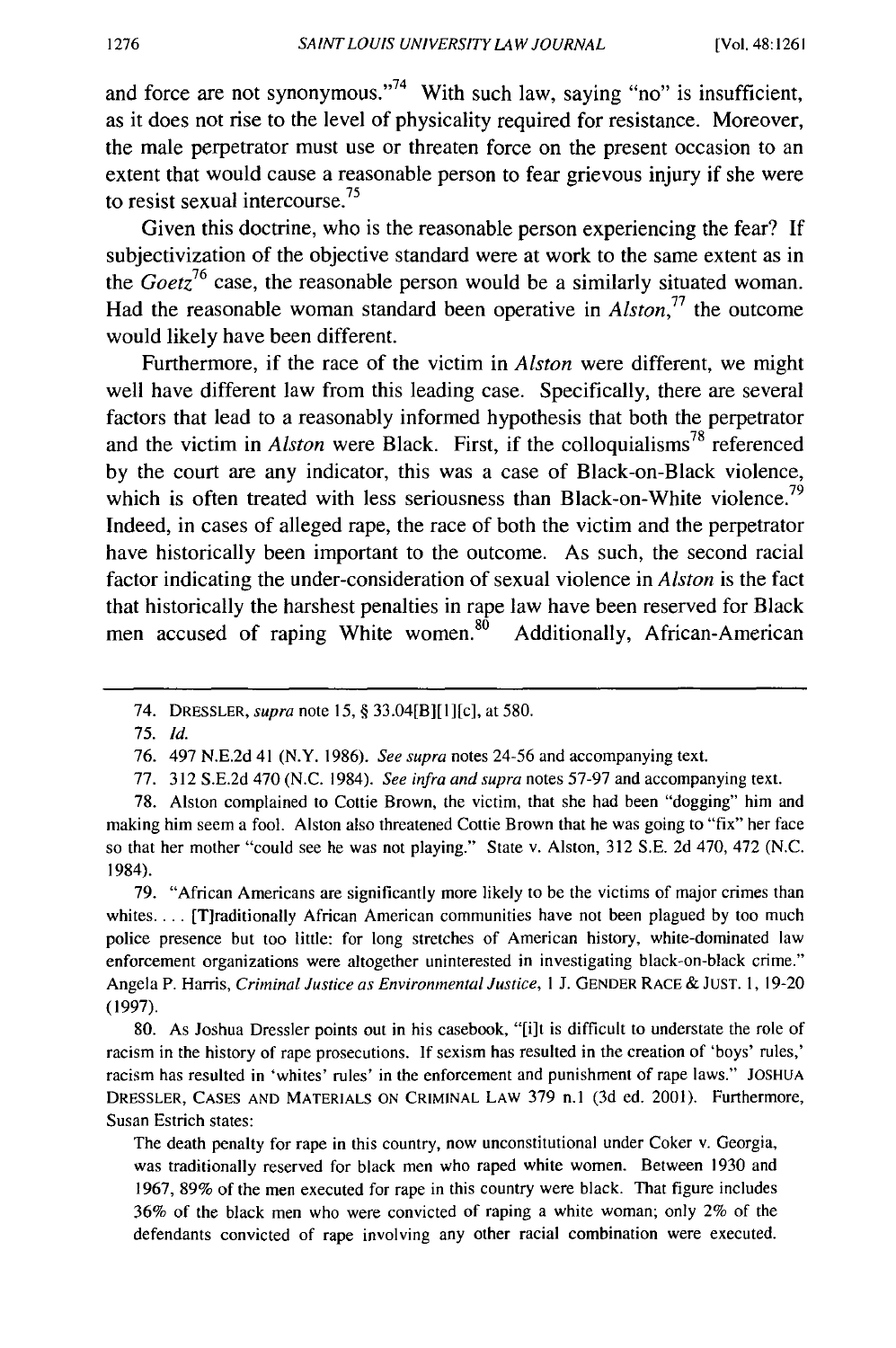and force are not synonymous."<sup>74</sup> With such law, saying "no" is insufficient, as it does not rise to the level of physicality required for resistance. Moreover, the male perpetrator must use or threaten force on the present occasion to an extent that would cause a reasonable person to fear grievous injury if she were to resist sexual intercourse. 75

Given this doctrine, who is the reasonable person experiencing the fear? If subjectivization of the objective standard were at work to the same extent as in the *Goetz*<sup>76</sup> case, the reasonable person would be a similarly situated woman. Had the reasonable woman standard been operative in  $Alston<sup>77</sup>$  the outcome would likely have been different.

Furthermore, if the race of the victim in *Alston* were different, we might well have different law from this leading case. Specifically, there are several factors that lead to a reasonably informed hypothesis that both the perpetrator and the victim in *Alston* were Black. First, if the colloquialisms<sup>78</sup> referenced by the court are any indicator, this was a case of Black-on-Black violence, which is often treated with less seriousness than Black-on-White violence.<sup>79</sup> Indeed, in cases of alleged rape, the race of both the victim and the perpetrator have historically been important to the outcome. As such, the second racial factor indicating the under-consideration of sexual violence in *Alston* is the fact that historically the harshest penalties in rape law have been reserved for Black men accused of raping White women.<sup>80</sup> Additionally, African-American

79. "African Americans are significantly more likely to be the victims of major crimes than whites.... [T]raditionally African American communities have not been plagued by too much police presence but too little: for long stretches of American history, white-dominated law enforcement organizations were altogether uninterested in investigating black-on-black crime." Angela P. Harris, *Criminal Justice as Environmental Justice,* I J. GENDER RACE & JUST. I, 19-20 (1997).

80. As Joshua Dressler points out in his casebook, "[i]t is difficult to understate the role of racism in the history of rape prosecutions. If sexism has resulted in the creation of 'boys' rules,' racism has resulted in 'whites' rules' in the enforcement and punishment of rape laws." JOSHUA DRESSLER, CASES AND MATERIALS ON CRIMINAL LAW 379 n.1 (3d ed. 2001). Furthermore, Susan Estrich states:

The death penalty for rape in this country, now unconstitutional under Coker v. Georgia, was traditionally reserved for black men who raped white women. Between 1930 and 1967, 89% of the men executed for rape in this country were black. That figure includes 36% of the black men who were convicted of raping a white woman; only 2% of the defendants convicted of rape involving any other racial combination were executed.

<sup>74.</sup> DRESSLER, *supra* note 15, § 33.04[B][l][c], at 580.

<sup>75.</sup> *Id.* 

<sup>76. 497</sup> N.E.2d 41 (N. Y. 1986). *See supra* notes 24-56 and accompanying text.

<sup>77. 312</sup> S.E.2d 470 (N.C. 1984). *See infra and supra* notes 57-97 and accompanying text.

<sup>78.</sup> Alston complained to Cottie Brown, the victim, that she had been "dogging" him and making him seem a fool. Alston also threatened Cottie Brown that he was going to "fix" her face so that her mother "could see he was not playing." State v. Alston, 312 S.E. 2d 470, 472 (N.C. 1984).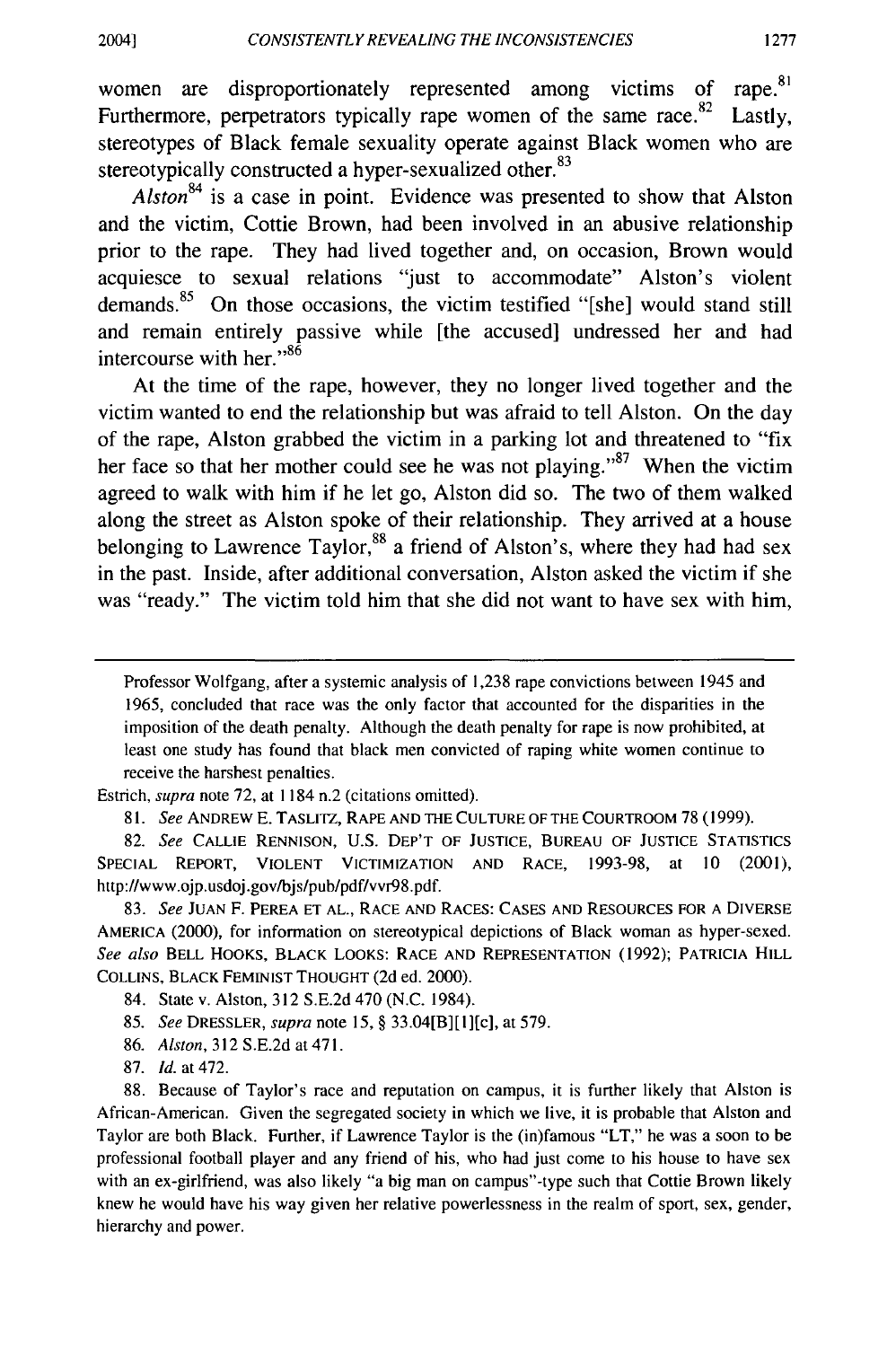women are disproportionately represented among victims of rape.<sup>81</sup> Furthermore, perpetrators typically rape women of the same race. $82$  Lastly, stereotypes of Black female sexuality operate against Black women who are stereotypically constructed a hyper-sexualized other.<sup>83</sup>

*Alston*<sup>84</sup> is a case in point. Evidence was presented to show that Alston and the victim, Cottie Brown, had been involved in an abusive relationship prior to the rape. They had lived together and, on occasion, Brown would acquiesce to sexual relations "just to accommodate" Alston's violent demands. $85$  On those occasions, the victim testified "[she] would stand still and remain entirely passive while [the accused] undressed her and had intercourse with her."<sup>86</sup>

At the time of the rape, however, they no longer lived together and the victim wanted to end the relationship but was afraid to tell Alston. On the day of the rape, Alston grabbed the victim in a parking lot and threatened to "fix her face so that her mother could see he was not playing."<sup>87</sup> When the victim agreed to walk with him if he let go, Alston did so. The two of them walked along the street as Alston spoke of their relationship. They arrived at a house belonging to Lawrence Taylor,<sup>88</sup> a friend of Alston's, where they had had sex in the past. Inside, after additional conversation, Alston asked the victim if she was "ready." The victim told him that she did not want to have sex with him,

Estrich, *supra* note 72, at 1184 n.2 (citations omitted).

8 I. *See* ANDREW E. T ASLITZ, RAPE AND THE CULTURE OF THE COURTROOM 78 (1999).

82. *See* CALLIE RENNISON, U.S. DEP'T OF JUSTICE, BUREAU OF JUSTICE STATISTICS SPECIAL REPORT, VIOLENT VICTIMIZATION AND RACE, 1993-98, at 10 (2001), http://www.ojp.usdoj.gov/bjs/pub/pdf/vvr98.pdf.

83. *See* JUAN F. PEREA ET AL., RACE AND RACES: CASES AND RESOURCES FOR A DIVERSE AMERICA (2000), for information on stereotypical depictions of Black woman as hyper-sexed. *See also* BELL HOOKS, BLACK LOOKS: RACE AND REPRESENTATION (1992); PATRICIA HILL COLLINS, BLACK FEMINIST THOUGHT (2d ed. 2000).

84. State v. Alston, 312 S.E.2d 470 (N.C. 1984).

85. *See* DRESSLER, *supra* note 15, § 33.04[B][l][c], at 579.

86. *Alston,* 312 S.E.2d at 471.

87. *Id.* at 472.

88. Because of Taylor's race and reputation on campus, it is further likely that Alston is African-American. Given the segregated society in which we live, it is probable that Alston and Taylor are both Black. Further, if Lawrence Taylor is the (in)famous "LT," he was a soon to be professional football player and any friend of his, who had just come to his house to have sex with an ex-girlfriend, was also likely "a big man on campus"-type such that Cottie Brown likely knew he would have his way given her relative powerlessness in the realm of sport, sex, gender, hierarchy and power.

Professor Wolfgang, after a systemic analysis of 1,238 rape convictions between 1945 and 1965, concluded that race was the only factor that accounted for the disparities in the imposition of the death penalty. Although the death penalty for rape is now prohibited, at least one study has found that black men convicted of raping white women continue to receive the harshest penalties.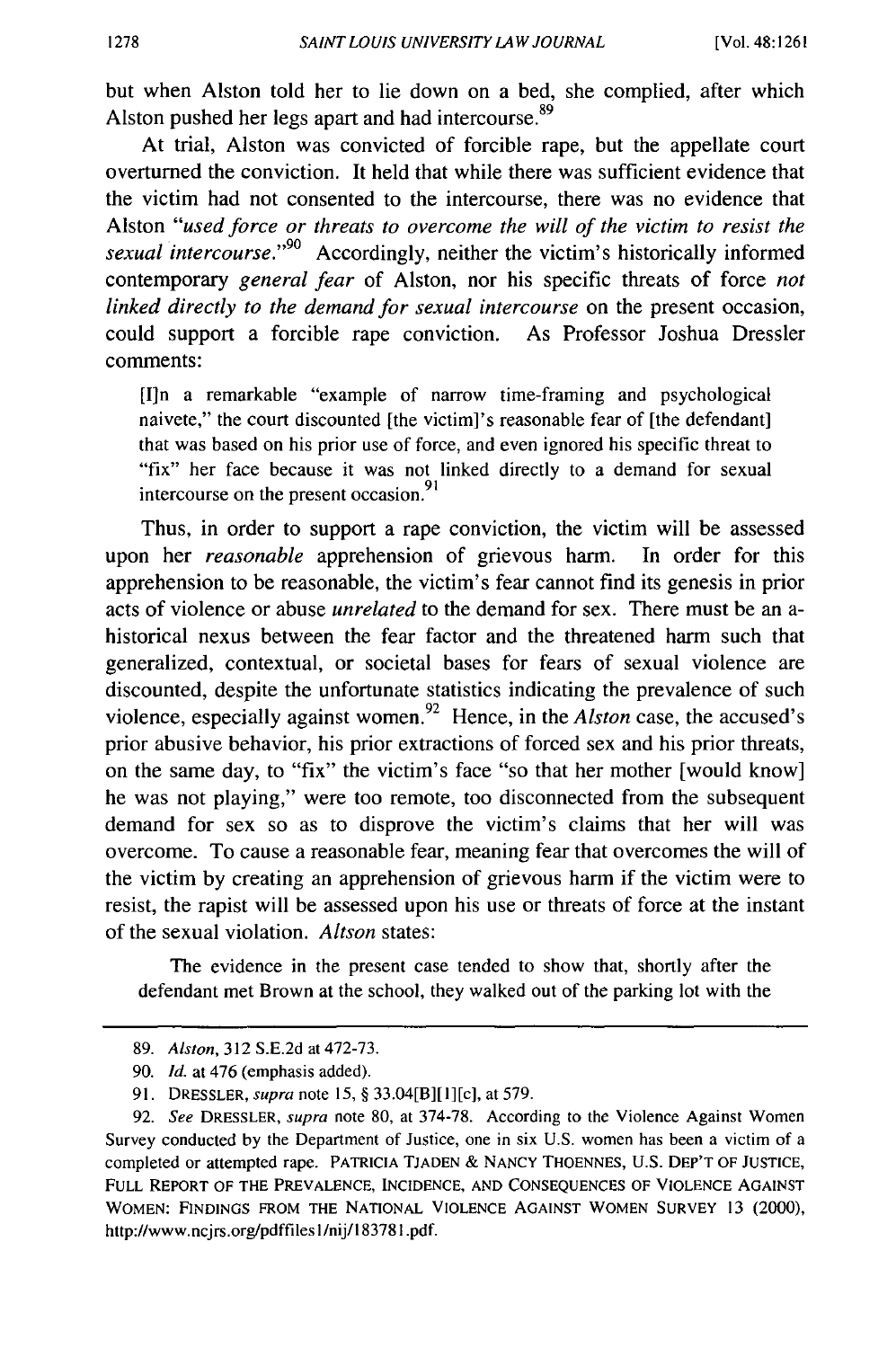but when Alston told her to lie down on a bed, she complied, after which Alston pushed her legs apart and had intercourse.<sup>89</sup>

At trial, Alston was convicted of forcible rape, but the appellate court overturned the conviction. It held that while there was sufficient evidence that the victim had not consented to the intercourse, there was no evidence that Alston *"used force or threats to overcome the will of the victim to resist the sexual intercourse.*"<sup>90</sup> Accordingly, neither the victim's historically informed contemporary *general fear* of Alston, nor his specific threats of force *not linked directly to the demand for sexual intercourse* on the present occasion, could support a forcible rape conviction. As Professor Joshua Dressler comments:

[I]n a remarkable "example of narrow time-framing and psychological naivete," the court discounted [the victim]'s reasonable fear of [the defendant] that was based on his prior use of force, and even ignored his specific threat to "fix" her face because it was not linked directly to a demand for sexual intercourse on the present occasion.<sup>91</sup>

Thus, in order to support a rape conviction, the victim will be assessed upon her *reasonable* apprehension of grievous harm. In order for this apprehension to be reasonable, the victim's fear cannot find its genesis in prior acts of violence or abuse *unrelated* to the demand for sex. There must be an ahistorical nexus between the fear factor and the threatened harm such that generalized, contextual, or societal bases for fears of sexual violence are discounted, despite the unfortunate statistics indicating the prevalence of such violence, especially against women. 92 Hence, in the *Alston* case, the accused's prior abusive behavior, his prior extractions of forced sex and his prior threats, on the same day, to "fix" the victim's face "so that her mother [would know] he was not playing," were too remote, too disconnected from the subsequent demand for sex so as to disprove the victim's claims that her will was overcome. To cause a reasonable fear, meaning fear that overcomes the will of the victim by creating an apprehension of grievous harm if the victim were to resist, the rapist will be assessed upon his use or threats of force at the instant of the sexual violation. *Altson* states:

The evidence in the present case tended to show that, shortly after the defendant met Brown at the school, they walked out of the parking lot with the

<sup>89.</sup> *Alston,* 312 S.E.2d at 472-73.

<sup>90.</sup> *Id.* at 476 (emphasis added).

<sup>91.</sup> DRESSLER, *supra* note 15, § 33.04[B][ll[c], at 579.

<sup>92.</sup> *See* DRESSLER, *supra* note 80, at 374-78. According to the Violence Against Women Survey conducted by the Department of Justice, one in six U.S. women has been a victim of a completed or attempted rape. PATRICIA TJADEN & NANCY THOENNES, U.S. DEP'T OF JUSTICE, FULL REPORT OF THE PREVALENCE, INCIDENCE, AND CONSEQUENCES OF VIOLENCE AGAINST WOMEN: FINDINGS FROM THE NATIONAL VIOLENCE AGAINST WOMEN SURVEY 13 (2000), http://www.ncjrs.org/pdffiles l/nij/183781.pdf.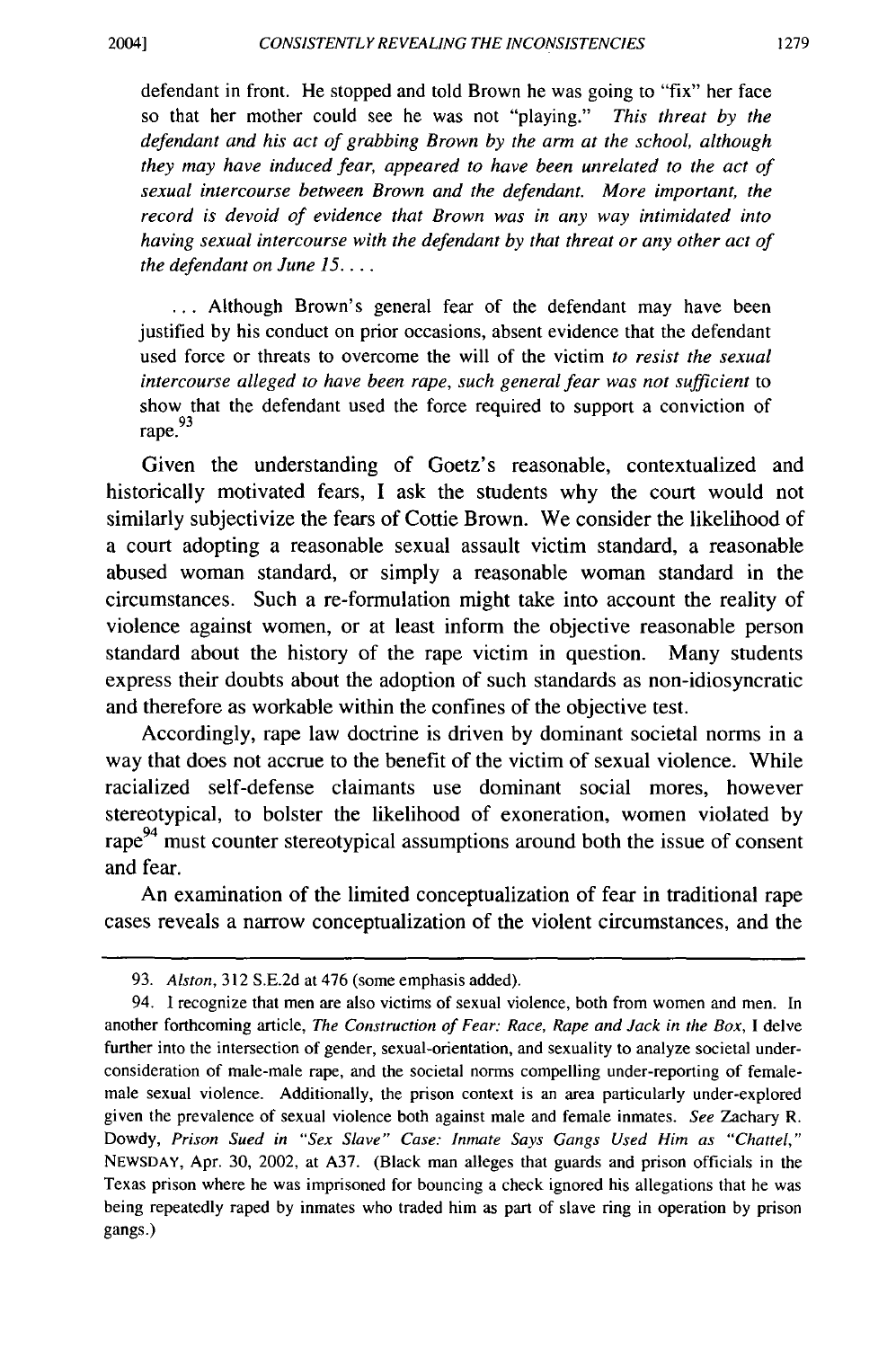defendant in front. He stopped and told Brown he was going to "fix" her face so that her mother could see he was not "playing." *This threat by the defendant and his act of grabbing Brown by the arm at the school, although they may have induced fear, appeared to have been unrelated to the act of sexual intercourse between Brown and the defendant. More important, the record is devoid of evidence that Brown was in any way intimidated into having sexual intercourse with the defendant by that threat or any other act of the defendant on June 15 .* ...

... Although Brown's general fear of the defendant may have been justified by his conduct on prior occasions, absent evidence that the defendant used force or threats to overcome the will of the victim *to resist the sexual intercourse alleged to have been rape, such general fear was not sufficient* to show that the defendant used the force required to support a conviction of rape.<sup>93</sup>

Given the understanding of Goetz's reasonable, contextualized and historically motivated fears, I ask the students why the court would not similarly subjectivize the fears of Cottie Brown. We consider the likelihood of a court adopting a reasonable sexual assault victim standard, a reasonable abused woman standard, or simply a reasonable woman standard in the circumstances. Such a re-formulation might take into account the reality of violence against women, or at least inform the objective reasonable person standard about the history of the rape victim in question. Many students express their doubts about the adoption of such standards as non-idiosyncratic and therefore as workable within the confines of the objective test.

Accordingly, rape law doctrine is driven by dominant societal norms in a way that does not accrue to the benefit of the victim of sexual violence. While racialized self-defense claimants use dominant social mores, however stereotypical, to bolster the likelihood of exoneration, women violated by rape<sup>94</sup> must counter stereotypical assumptions around both the issue of consent and fear.

An examination of the limited conceptualization of fear in traditional rape cases reveals a narrow conceptualization of the violent circumstances, and the

<sup>93.</sup> *Alston*, 312 S.E.2d at 476 (some emphasis added).

<sup>94.</sup> I recognize that men are also victims of sexual violence, both from women and men. In another forthcoming article, *The Construction of Fear: Race, Rape and Jack in the Box,* I delve further into the intersection of gender, sexual-orientation, and sexuality to analyze societal underconsideration of male-male rape, and the societal norms compelling under-reporting of femalemale sexual violence. Additionally, the prison context is an area particularly under-explored given the prevalence of sexual violence both against male and female inmates. *See* Zachary R. Dowdy, *Prison Sued in "Sex Slave" Case: Inmate Says Gangs Used Him as "Chattel,"*  NEWSDAY, Apr. 30, 2002, at A37. (Black man alleges that guards and prison officials in the Texas prison where he was imprisoned for bouncing a check ignored his allegations that he was being repeatedly raped by inmates who traded him as part of slave ring in operation by prison gangs.)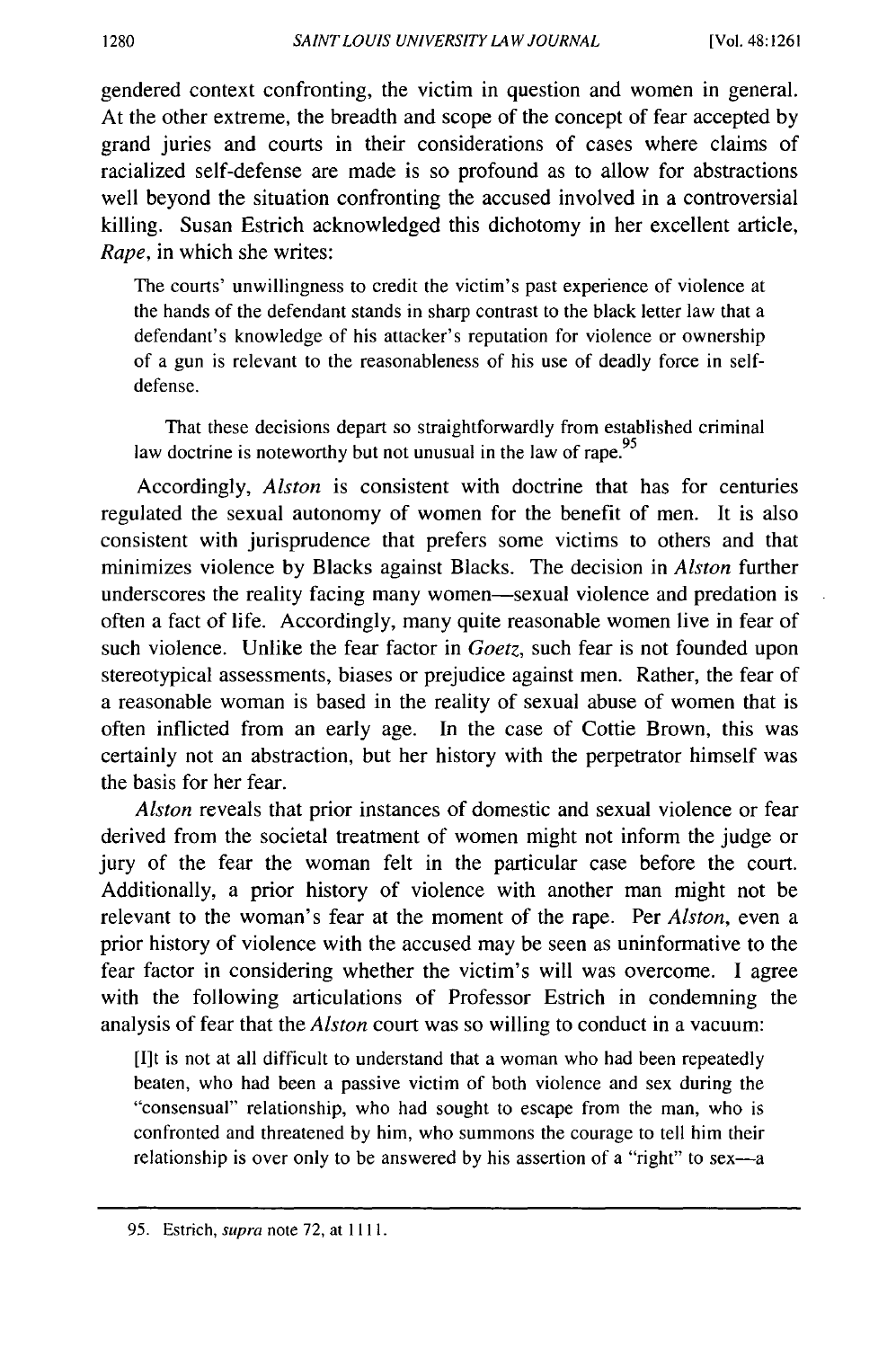gendered context confronting, the victim in question and women in general. At the other extreme, the breadth and scope of the concept of fear accepted by grand juries and courts in their considerations of cases where claims of racialized self-defense are made is so profound as to allow for abstractions well beyond the situation confronting the accused involved in a controversial killing. Susan Estrich acknowledged this dichotomy in her excellent article, *Rape,* in which she writes:

The courts' unwillingness to credit the victim's past experience of violence at the hands of the defendant stands in sharp contrast to the black letter law that a defendant's knowledge of his attacker's reputation for violence or ownership of a gun is relevant to the reasonableness of his use of deadly force in selfdefense.

That these decisions depart so straightforwardly from established criminal law doctrine is noteworthy but not unusual in the law of rape.<sup>95</sup>

Accordingly, *Alston* is consistent with doctrine that has for centuries regulated the sexual autonomy of women for the benefit of men. It is also consistent with jurisprudence that prefers some victims to others and that minimizes violence by Blacks against Blacks. The decision in *Alston* further underscores the reality facing many women—sexual violence and predation is often a fact of life. Accordingly, many quite reasonable women live in fear of such violence. Unlike the fear factor in *Goetz,* such fear is not founded upon stereotypical assessments, biases or prejudice against men. Rather, the fear of a reasonable woman is based in the reality of sexual abuse of women that is often inflicted from an early age. In the case of Cottie Brown, this was certainly not an abstraction, but her history with the perpetrator himself was the basis for her fear.

*Alston* reveals that prior instances of domestic and sexual violence or fear derived from the societal treatment of women might not inform the judge or jury of the fear the woman felt in the particular case before the court. Additionally, a prior history of violence with another man might not be relevant to the woman's fear at the moment of the rape. Per *Alston,* even a prior history of violence with the accused may be seen as uninformative to the fear factor in considering whether the victim's will was overcome. I agree with the following articulations of Professor Estrich in condemning the analysis of fear that the *Alston* court was so willing to conduct in a vacuum:

[I]t is not at all difficult to understand that a woman who had been repeatedly beaten, who had been a passive victim of both violence and sex during the "consensual" relationship, who had sought to escape from the man, who is confronted and threatened by him, who summons the courage to tell him their relationship is over only to be answered by his assertion of a "right" to sex-a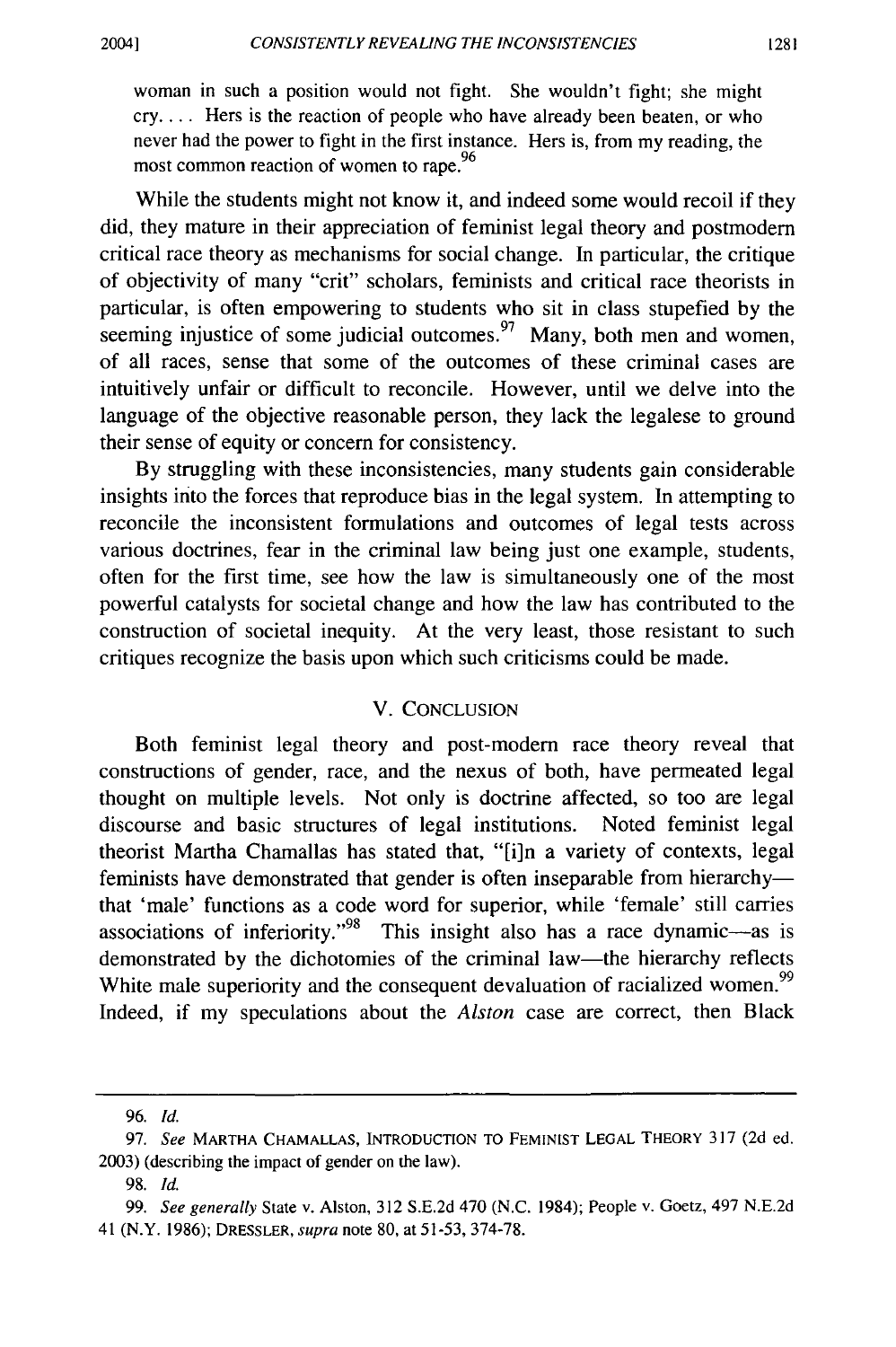1281

woman in such a position would not fight. She wouldn't fight; she might  $cry$ .... Hers is the reaction of people who have already been beaten, or who never had the power to fight in the first instance. Hers is, from my reading, the most common reaction of women to rape.<sup>96</sup>

While the students might not know it, and indeed some would recoil if they did, they mature in their appreciation of feminist legal theory and postmodern critical race theory as mechanisms for social change. In particular, the critique of objectivity of many "crit" scholars, feminists and critical race theorists in particular, is often empowering to students who sit in class stupefied by the seeming injustice of some judicial outcomes.<sup>97</sup> Many, both men and women, of all races, sense that some of the outcomes of these criminal cases are intuitively unfair or difficult to reconcile. However, until we delve into the language of the objective reasonable person, they lack the legalese to ground their sense of equity or concern for consistency.

By struggling with these inconsistencies, many students gain considerable insights irito the forces that reproduce bias in the legal system. In attempting to reconcile the inconsistent formulations and outcomes of legal tests across various doctrines, fear in the criminal law being just one example, students, often for the first time, see how the law is simultaneously one of the most powerful catalysts for societal change and how the law has contributed to the construction of societal inequity. At the very least, those resistant to such critiques recognize the basis upon which such criticisms could be made.

#### V. CONCLUSION

Both feminist legal theory and post-modem race theory reveal that constructions of gender, race, and the nexus of both, have permeated legal thought on multiple levels. Not only is doctrine affected, so too are legal discourse and basic structures of legal institutions. Noted feminist legal theorist Martha Chamallas has stated that, "[i]n a variety of contexts, legal feminists have demonstrated that gender is often inseparable from hierarchythat 'male' functions as a code word for superior, while 'female' still carries associations of inferiority."<sup>98</sup> This insight also has a race dynamic-as is demonstrated by the dichotomies of the criminal law-the hierarchy reflects White male superiority and the consequent devaluation of racialized women.<sup>99</sup> Indeed, if my speculations about the *Alston* case are correct, then Black

<sup>96.</sup> *Id.* 

<sup>97.</sup> *See* MARTHA CHAMALLAS, INTRODUCTION TO FEMINIST LEGAL THEORY 317 (2d ed. 2003) (describing the impact of gender on the law).

<sup>98.</sup> *Id.* 

<sup>99.</sup> *See generally* State v. Alston, 312 S.E.2d 470 (N.C. 1984); People v. Goetz, 497 N.E.2d 41 **(N.Y.** 1986); DRESSLER, *supra* note 80, at 51-53, 374-78.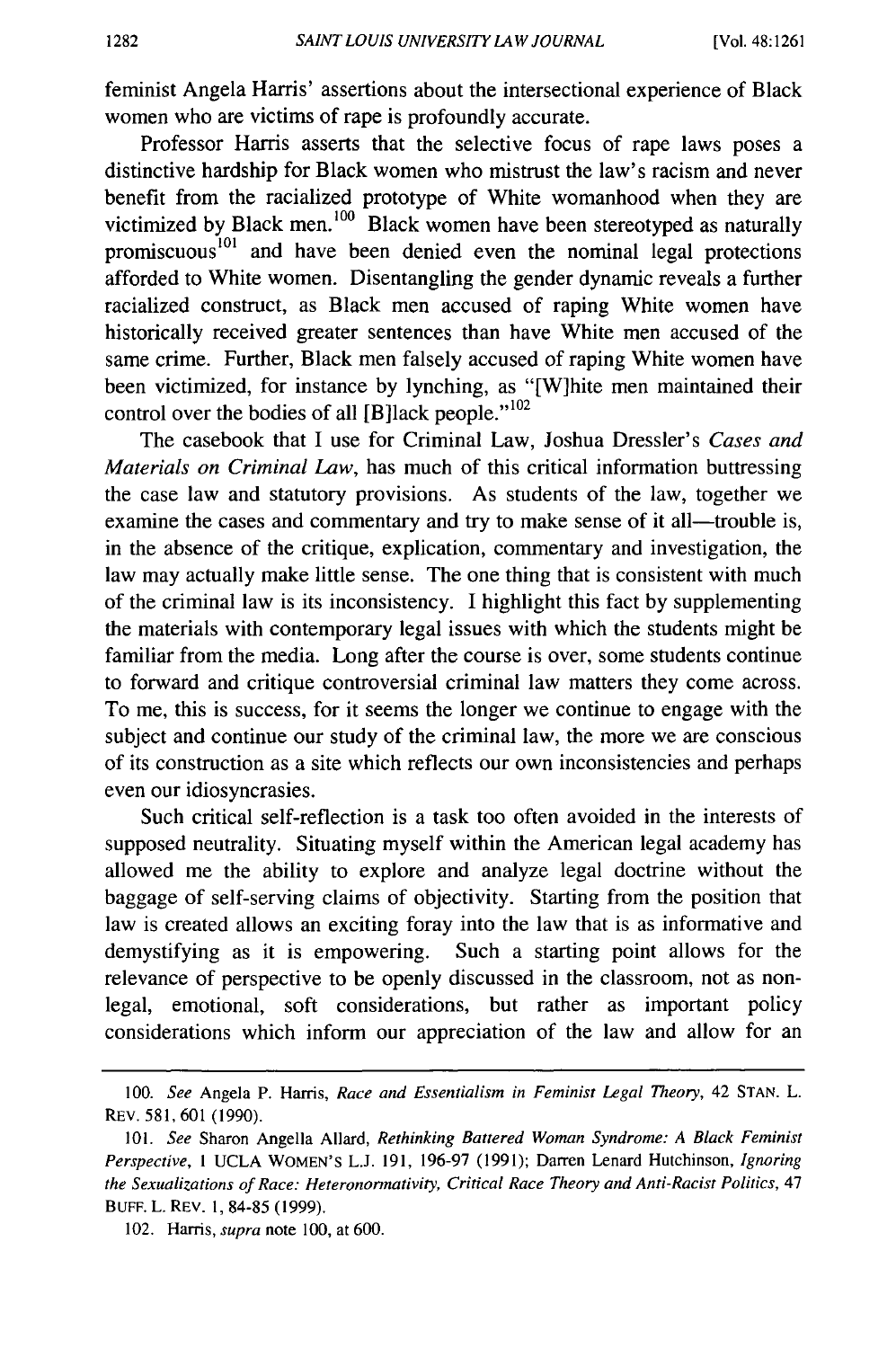feminist Angela Harris' assertions about the intersectional experience of Black women who are victims of rape is profoundly accurate.

Professor Harris asserts that the selective focus of rape laws poses a distinctive hardship for Black women who mistrust the law's racism and never benefit from the racialized prototype of White womanhood when they are victimized by Black men.<sup>100</sup> Black women have been stereotyped as naturally promiscuous<sup>101</sup> and have been denied even the nominal legal protections afforded to White women. Disentangling the gender dynamic reveals a further racialized construct, as Black men accused of raping White women have historically received greater sentences than have White men accused of the same crime. Further, Black men falsely accused of raping White women have been victimized, for instance by lynching, as "[W]hite men maintained their control over the bodies of all  $[B]$ lack people." $102$ 

The casebook that I use for Criminal Law, Joshua Dressler's *Cases and Materials on Criminal Law,* has much of this critical information buttressing the case law and statutory provisions. As students of the law, together we examine the cases and commentary and try to make sense of it all—trouble is, in the absence of the critique, explication, commentary and investigation, the law may actually make little sense. The one thing that is consistent with much of the criminal law is its inconsistency. I highlight this fact by supplementing the materials with contemporary legal issues with which the students might be familiar from the media. Long after the course is over, some students continue to forward and critique controversial criminal law matters they come across. To me, this is success, for it seems the longer we continue to engage with the subject and continue our study of the criminal law, the more we are conscious of its construction as a site which reflects our own inconsistencies and perhaps even our idiosyncrasies.

Such critical self-reflection is a task too often avoided in the interests of supposed neutrality. Situating myself within the American legal academy has allowed me the ability to explore and analyze legal doctrine without the baggage of self-serving claims of objectivity. Starting from the position that law is created allows an exciting foray into the law that is as informative and demystifying as it is empowering. Such a starting point allows for the relevance of perspective to be openly discussed in the classroom, not as nonlegal, emotional, soft considerations, but rather as important policy considerations which inform our appreciation of the law and allow for an

<sup>100.</sup> *See* Angela P. Harris, *Race and Essentialism in Feminist Legal Theory,* 42 STAN. L. REV. 581,601 (1990).

IOI. *See* Sharon Angella Allard, *Rethinking Battered Woman Syndrome: A Black Feminist Perspective,* 1 UCLA WOMEN'S L.J. 191, 196-97 (1991); Darren Lenard Hutchinson, *Ignoring the Sexualizations of Race: Heteronormativity, Critical Race Theory and Anti-Racist Politics,* 47 BUFF. L. REV. 1, 84-85 (1999).

<sup>102.</sup> Harris, *supra* note 100, at 600.